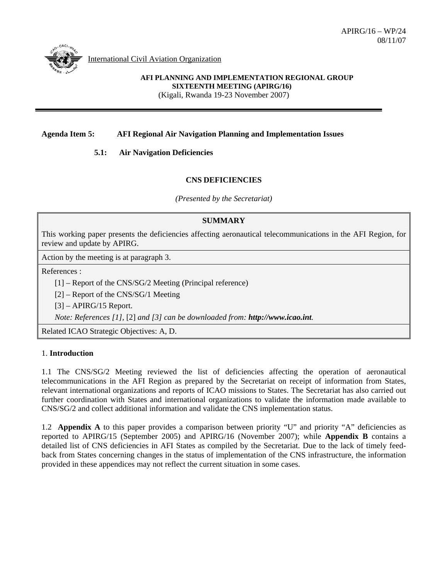

International Civil Aviation Organization

**AFI PLANNING AND IMPLEMENTATION REGIONAL GROUP SIXTEENTH MEETING (APIRG/16)** 

(Kigali, Rwanda 19-23 November 2007)

#### **Agenda Item 5: AFI Regional Air Navigation Planning and Implementation Issues**

#### **5.1: Air Navigation Deficiencies**

#### **CNS DEFICIENCIES**

*(Presented by the Secretariat)* 

#### **SUMMARY**

This working paper presents the deficiencies affecting aeronautical telecommunications in the AFI Region, for review and update by APIRG.

Action by the meeting is at paragraph 3.

References :

[1] – Report of the CNS/SG/2 Meeting (Principal reference)

[2] – Report of the CNS/SG/1 Meeting

 $[3]$  – APIRG/15 Report.

*Note: References [1],* [2] *and [3] can be downloaded from: http://www.icao.int.* 

Related ICAO Strategic Objectives: A, D.

#### 1. **Introduction**

1.1 The CNS/SG/2 Meeting reviewed the list of deficiencies affecting the operation of aeronautical telecommunications in the AFI Region as prepared by the Secretariat on receipt of information from States, relevant international organizations and reports of ICAO missions to States. The Secretariat has also carried out further coordination with States and international organizations to validate the information made available to CNS/SG/2 and collect additional information and validate the CNS implementation status.

1.2 **Appendix A** to this paper provides a comparison between priority "U" and priority "A" deficiencies as reported to APIRG/15 (September 2005) and APIRG/16 (November 2007); while **Appendix B** contains a detailed list of CNS deficiencies in AFI States as compiled by the Secretariat. Due to the lack of timely feedback from States concerning changes in the status of implementation of the CNS infrastructure, the information provided in these appendices may not reflect the current situation in some cases.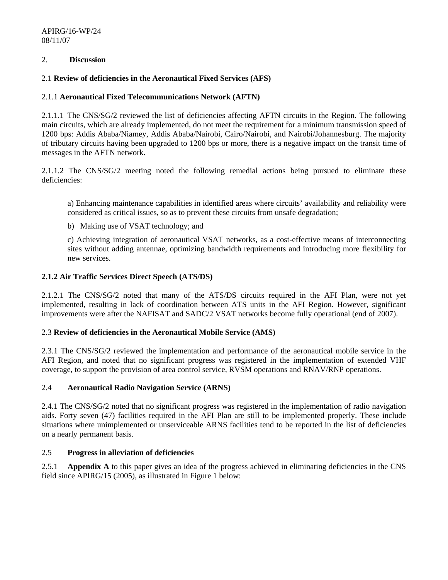#### 2. **Discussion**

#### 2.1 **Review of deficiencies in the Aeronautical Fixed Services (AFS)**

#### 2.1.1 **Aeronautical Fixed Telecommunications Network (AFTN)**

2.1.1.1 The CNS/SG/2 reviewed the list of deficiencies affecting AFTN circuits in the Region. The following main circuits, which are already implemented, do not meet the requirement for a minimum transmission speed of 1200 bps: Addis Ababa/Niamey, Addis Ababa/Nairobi, Cairo/Nairobi, and Nairobi/Johannesburg. The majority of tributary circuits having been upgraded to 1200 bps or more, there is a negative impact on the transit time of messages in the AFTN network.

2.1.1.2 The CNS/SG/2 meeting noted the following remedial actions being pursued to eliminate these deficiencies:

a) Enhancing maintenance capabilities in identified areas where circuits' availability and reliability were considered as critical issues, so as to prevent these circuits from unsafe degradation;

b) Making use of VSAT technology; and

c) Achieving integration of aeronautical VSAT networks, as a cost-effective means of interconnecting sites without adding antennae, optimizing bandwidth requirements and introducing more flexibility for new services.

#### **2.1.2 Air Traffic Services Direct Speech (ATS/DS)**

2.1.2.1 The CNS/SG/2 noted that many of the ATS/DS circuits required in the AFI Plan, were not yet implemented, resulting in lack of coordination between ATS units in the AFI Region. However, significant improvements were after the NAFISAT and SADC/2 VSAT networks become fully operational (end of 2007).

#### 2.3 **Review of deficiencies in the Aeronautical Mobile Service (AMS)**

2.3.1 The CNS/SG/2 reviewed the implementation and performance of the aeronautical mobile service in the AFI Region, and noted that no significant progress was registered in the implementation of extended VHF coverage, to support the provision of area control service, RVSM operations and RNAV/RNP operations.

#### 2.4 **Aeronautical Radio Navigation Service (ARNS)**

2.4.1 The CNS/SG/2 noted that no significant progress was registered in the implementation of radio navigation aids. Forty seven (47) facilities required in the AFI Plan are still to be implemented properly. These include situations where unimplemented or unserviceable ARNS facilities tend to be reported in the list of deficiencies on a nearly permanent basis.

#### 2.5 **Progress in alleviation of deficiencies**

2.5.1 **Appendix A** to this paper gives an idea of the progress achieved in eliminating deficiencies in the CNS field since APIRG/15 (2005), as illustrated in Figure 1 below: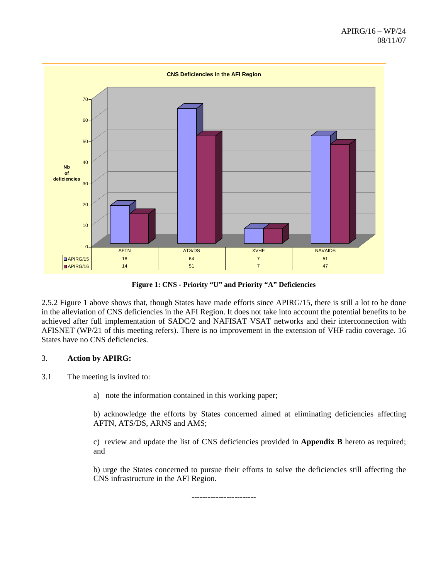

**Figure 1: CNS - Priority "U" and Priority "A" Deficiencies** 

2.5.2 Figure 1 above shows that, though States have made efforts since APIRG/15, there is still a lot to be done in the alleviation of CNS deficiencies in the AFI Region. It does not take into account the potential benefits to be achieved after full implementation of SADC/2 and NAFISAT VSAT networks and their interconnection with AFISNET (WP/21 of this meeting refers). There is no improvement in the extension of VHF radio coverage. 16 States have no CNS deficiencies.

#### 3. **Action by APIRG:**

- 3.1 The meeting is invited to:
	- a) note the information contained in this working paper;

b) acknowledge the efforts by States concerned aimed at eliminating deficiencies affecting AFTN, ATS/DS, ARNS and AMS;

c) review and update the list of CNS deficiencies provided in **Appendix B** hereto as required; and

b) urge the States concerned to pursue their efforts to solve the deficiencies still affecting the CNS infrastructure in the AFI Region.

------------------------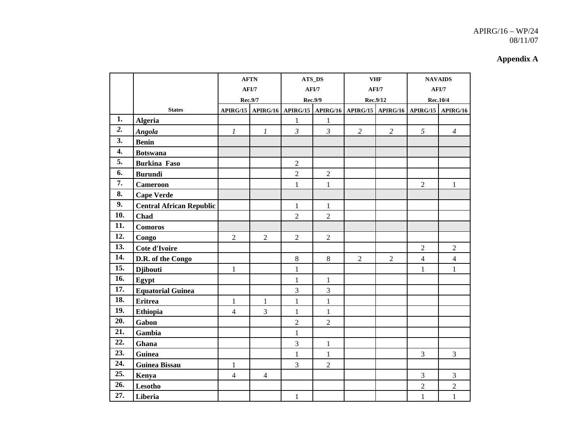# **Appendix A**

|                   |                                 | <b>AFTN</b>                                                                |                  |                | ATS_DS         |                | <b>VHF</b>     |                  | <b>NAVAIDS</b> |
|-------------------|---------------------------------|----------------------------------------------------------------------------|------------------|----------------|----------------|----------------|----------------|------------------|----------------|
|                   |                                 | AFI/7                                                                      |                  |                | AFI/7          |                | AFI/7          | AFI/7            |                |
|                   |                                 | Rec.9/7                                                                    |                  |                | Rec.9/9        |                | Rec.9/12       |                  | Rec.10/4       |
|                   | <b>States</b>                   | APIRG/16 APIRG/15 APIRG/16 APIRG/15 APIRG/16 APIRG/15 APIRG/16<br>APIRG/15 |                  |                |                |                |                |                  |                |
| 1.                | <b>Algeria</b>                  |                                                                            |                  | $\mathbf{1}$   | $\mathbf{1}$   |                |                |                  |                |
| $\overline{2}$ .  | <b>Angola</b>                   | $\mathfrak{I}$                                                             | $\boldsymbol{l}$ | $\mathfrak{Z}$ | $\mathfrak{Z}$ | $\overline{c}$ | $\overline{c}$ | 5                | $\overline{4}$ |
| 3.                | <b>Benin</b>                    |                                                                            |                  |                |                |                |                |                  |                |
| 4.                | <b>Botswana</b>                 |                                                                            |                  |                |                |                |                |                  |                |
| 5.                | <b>Burkina Faso</b>             |                                                                            |                  | $\overline{2}$ |                |                |                |                  |                |
| 6.                | <b>Burundi</b>                  |                                                                            |                  | $\overline{2}$ | $\sqrt{2}$     |                |                |                  |                |
| 7.                | <b>Cameroon</b>                 |                                                                            |                  | $\mathbf{1}$   | $\mathbf{1}$   |                |                | $\overline{2}$   | $\mathbf{1}$   |
| 8.                | <b>Cape Verde</b>               |                                                                            |                  |                |                |                |                |                  |                |
| 9.                | <b>Central African Republic</b> |                                                                            |                  | $\mathbf{1}$   | $\mathbf{1}$   |                |                |                  |                |
| 10.               | <b>Chad</b>                     |                                                                            |                  | $\overline{2}$ | $\overline{2}$ |                |                |                  |                |
| 11.               | <b>Comoros</b>                  |                                                                            |                  |                |                |                |                |                  |                |
| 12.               | Congo                           | $\overline{2}$                                                             | $\overline{2}$   | $\overline{2}$ | $\overline{2}$ |                |                |                  |                |
| $\overline{13.}$  | <b>Cote d'Ivoire</b>            |                                                                            |                  |                |                |                |                | $\boldsymbol{2}$ | $\overline{c}$ |
| 14.               | D.R. of the Congo               |                                                                            |                  | $8\,$          | $\,8\,$        | $\overline{2}$ | $\overline{2}$ | $\overline{4}$   | $\overline{4}$ |
| $\overline{15}$ . | <b>Djibouti</b>                 | $\mathbf{1}$                                                               |                  | $\mathbf{1}$   |                |                |                | $\mathbf{1}$     | $\mathbf{1}$   |
| 16.               | Egypt                           |                                                                            |                  | $\mathbf{1}$   | $\mathbf{1}$   |                |                |                  |                |
| 17.               | <b>Equatorial Guinea</b>        |                                                                            |                  | 3              | 3              |                |                |                  |                |
| 18.               | <b>Eritrea</b>                  | 1                                                                          | $\mathbf{1}$     | $\mathbf{1}$   | $\mathbf{1}$   |                |                |                  |                |
| 19.               | Ethiopia                        | $\overline{4}$                                                             | 3                | $\,1\,$        | $\mathbf{1}$   |                |                |                  |                |
| 20.               | Gabon                           |                                                                            |                  | $\overline{2}$ | $\overline{2}$ |                |                |                  |                |
| 21.               | Gambia                          |                                                                            |                  | $\mathbf{1}$   |                |                |                |                  |                |
| 22.               | Ghana                           |                                                                            |                  | 3              | $\mathbf{1}$   |                |                |                  |                |
| 23.               | Guinea                          |                                                                            |                  | $\mathbf{1}$   | $\mathbf{1}$   |                |                | $\overline{3}$   | 3              |
| 24.               | <b>Guinea Bissau</b>            | 1                                                                          |                  | $\overline{3}$ | $\overline{2}$ |                |                |                  |                |
| 25.               | Kenya                           | $\overline{4}$                                                             | $\overline{4}$   |                |                |                |                | $\overline{3}$   | 3              |
| 26.               | <b>Lesotho</b>                  |                                                                            |                  |                |                |                |                | $\overline{2}$   | $\overline{2}$ |
| 27.               | Liberia                         |                                                                            |                  | $\mathbf{1}$   |                |                |                | $\mathbf{1}$     | $\mathbf{1}$   |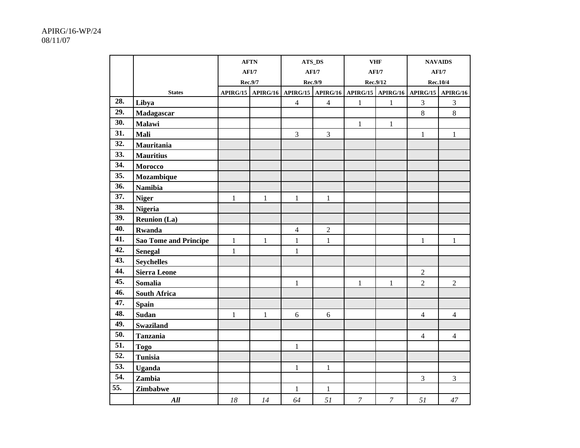|                   |                              | <b>AFTN</b>  |              |                | $ATS$ <sub><math>DS</math></sub> |                | <b>VHF</b>     | <b>NAVAIDS</b>                                                                        |                |
|-------------------|------------------------------|--------------|--------------|----------------|----------------------------------|----------------|----------------|---------------------------------------------------------------------------------------|----------------|
|                   |                              | AFI/7        |              |                | AFI/7                            |                | AFI/7          |                                                                                       | AFI/7          |
|                   |                              | Rec.9/7      |              |                | Rec.9/9                          |                | Rec.9/12       | Rec.10/4                                                                              |                |
|                   | <b>States</b>                |              |              |                |                                  |                |                | APIRG/15   APIRG/16   APIRG/15   APIRG/16   APIRG/15   APIRG/16   APIRG/15   APIRG/16 |                |
| 28.               | Libya                        |              |              | $\overline{4}$ | $\overline{4}$                   | $\mathbf{1}$   | $\mathbf{1}$   | 3                                                                                     | 3              |
| $\overline{29}$ . | Madagascar                   |              |              |                |                                  |                |                | 8                                                                                     | 8              |
| 30.               | <b>Malawi</b>                |              |              |                |                                  | $\mathbf{1}$   | $\mathbf{1}$   |                                                                                       |                |
| 31.               | Mali                         |              |              | 3              | 3                                |                |                | $\mathbf{1}$                                                                          | $\mathbf{1}$   |
| 32.               | Mauritania                   |              |              |                |                                  |                |                |                                                                                       |                |
| 33.               | <b>Mauritius</b>             |              |              |                |                                  |                |                |                                                                                       |                |
| $\overline{34.}$  | <b>Morocco</b>               |              |              |                |                                  |                |                |                                                                                       |                |
| $\overline{35}$ . | Mozambique                   |              |              |                |                                  |                |                |                                                                                       |                |
| 36.               | <b>Namibia</b>               |              |              |                |                                  |                |                |                                                                                       |                |
| $\overline{37}$ . | <b>Niger</b>                 | $\mathbf{1}$ | $\mathbf{1}$ | $\mathbf{1}$   | $\mathbf{1}$                     |                |                |                                                                                       |                |
| 38.               | <b>Nigeria</b>               |              |              |                |                                  |                |                |                                                                                       |                |
| 39.               | <b>Reunion</b> (La)          |              |              |                |                                  |                |                |                                                                                       |                |
| 40.               | <b>Rwanda</b>                |              |              | $\overline{4}$ | $\overline{2}$                   |                |                |                                                                                       |                |
| 41.               | <b>Sao Tome and Principe</b> | $\mathbf{1}$ | $\mathbf{1}$ | $\mathbf{1}$   | $\mathbf{1}$                     |                |                | $\mathbf{1}$                                                                          | $\mathbf{1}$   |
| 42.               | <b>Senegal</b>               | $\mathbf{1}$ |              | $\mathbf{1}$   |                                  |                |                |                                                                                       |                |
| $\overline{43.}$  | <b>Seychelles</b>            |              |              |                |                                  |                |                |                                                                                       |                |
| 44.               | <b>Sierra Leone</b>          |              |              |                |                                  |                |                | $\sqrt{2}$                                                                            |                |
| $\overline{45.}$  | Somalia                      |              |              | $\mathbf{1}$   |                                  | $\mathbf{1}$   | $\mathbf{1}$   | $\overline{2}$                                                                        | $\overline{2}$ |
| $\overline{46.}$  | <b>South Africa</b>          |              |              |                |                                  |                |                |                                                                                       |                |
| 47.               | <b>Spain</b>                 |              |              |                |                                  |                |                |                                                                                       |                |
| 48.               | <b>Sudan</b>                 | $\mathbf{1}$ | $\mathbf{1}$ | 6              | 6                                |                |                | $\overline{4}$                                                                        | $\overline{4}$ |
| 49.               | <b>Swaziland</b>             |              |              |                |                                  |                |                |                                                                                       |                |
| 50.               | <b>Tanzania</b>              |              |              |                |                                  |                |                | $\overline{4}$                                                                        | $\overline{4}$ |
| 51.               | <b>Togo</b>                  |              |              | $\mathbf{1}$   |                                  |                |                |                                                                                       |                |
| 52.               | <b>Tunisia</b>               |              |              |                |                                  |                |                |                                                                                       |                |
| $\overline{53}$ . | <b>Uganda</b>                |              |              | $\mathbf{1}$   | $\mathbf{1}$                     |                |                |                                                                                       |                |
| 54.               | Zambia                       |              |              |                |                                  |                |                | 3                                                                                     | 3              |
| $\overline{55}$ . | Zimbabwe                     |              |              | $\mathbf{1}$   | $\mathbf{1}$                     |                |                |                                                                                       |                |
|                   | All                          | 18           | 14           | 64             | 51                               | $\overline{7}$ | $\overline{7}$ | 51                                                                                    | 47             |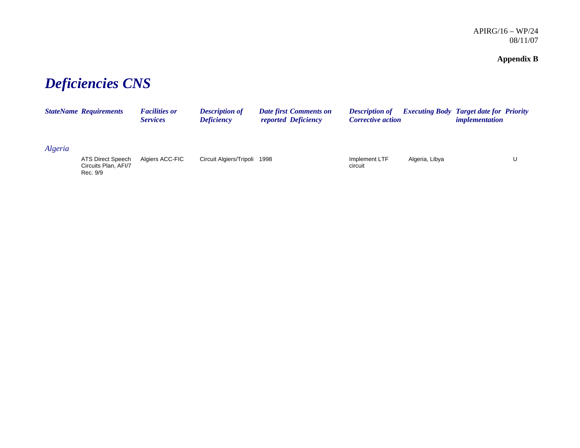# **Appendix B**

# *Deficiencies CNS*

|         | <b>StateName Requirements</b>                         | <b>Facilities or</b><br><b>Services</b> | <b>Description of</b><br><b>Deficiency</b> | <b>Date first Comments on</b><br>reported Deficiency | <b>Description of</b><br><b>Corrective action</b> |                | <b>Executing Body Target date for Priority</b><br><i>implementation</i> |   |
|---------|-------------------------------------------------------|-----------------------------------------|--------------------------------------------|------------------------------------------------------|---------------------------------------------------|----------------|-------------------------------------------------------------------------|---|
| Algeria | ATS Direct Speech<br>Circuits Plan, AFI/7<br>Rec. 9/9 | Algiers ACC-FIC                         | Circuit Algiers/Tripoli                    | 1998                                                 | Implement LTF<br>circuit                          | Algeria, Libya |                                                                         | U |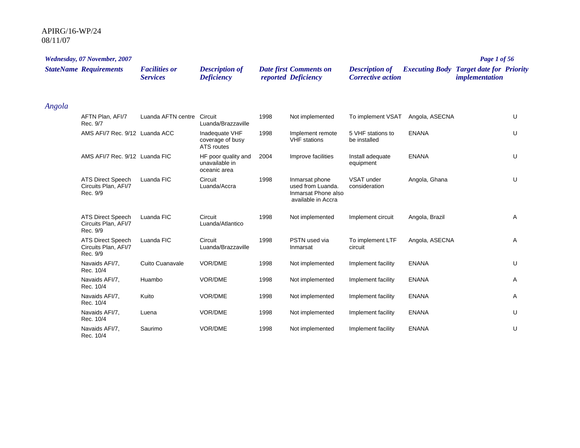Rec. 10/4

|        | Wednesday, 07 November, 2007                                 |                                         |                                                       |      |                                                                                  |                                                   |                       | Page 1 of 56                                             |   |
|--------|--------------------------------------------------------------|-----------------------------------------|-------------------------------------------------------|------|----------------------------------------------------------------------------------|---------------------------------------------------|-----------------------|----------------------------------------------------------|---|
|        | <b>StateName Requirements</b>                                | <b>Facilities or</b><br><b>Services</b> | <b>Description of</b><br><b>Deficiency</b>            |      | <b>Date first Comments on</b><br>reported Deficiency                             | <b>Description of</b><br><b>Corrective action</b> | <b>Executing Body</b> | <b>Target date for Priority</b><br><i>implementation</i> |   |
| Angola |                                                              |                                         |                                                       |      |                                                                                  |                                                   |                       |                                                          |   |
|        | AFTN Plan, AFI/7<br>Rec. 9/7                                 | Luanda AFTN centre Circuit              | Luanda/Brazzaville                                    | 1998 | Not implemented                                                                  | To implement VSAT                                 | Angola, ASECNA        |                                                          | U |
|        | AMS AFI/7 Rec. 9/12 Luanda ACC                               |                                         | Inadequate VHF<br>coverage of busy<br>ATS routes      | 1998 | Implement remote<br><b>VHF</b> stations                                          | 5 VHF stations to<br>be installed                 | <b>ENANA</b>          |                                                          | U |
|        | AMS AFI/7 Rec. 9/12 Luanda FIC                               |                                         | HF poor quality and<br>unavailable in<br>oceanic area | 2004 | Improve facilities                                                               | Install adequate<br>equipment                     | <b>ENANA</b>          |                                                          | U |
|        | <b>ATS Direct Speech</b><br>Circuits Plan, AFI/7<br>Rec. 9/9 | Luanda FIC                              | Circuit<br>Luanda/Accra                               | 1998 | Inmarsat phone<br>used from Luanda.<br>Inmarsat Phone also<br>available in Accra | VSAT under<br>consideration                       | Angola, Ghana         |                                                          | U |
|        | <b>ATS Direct Speech</b><br>Circuits Plan, AFI/7<br>Rec. 9/9 | Luanda FIC                              | Circuit<br>Luanda/Atlantico                           | 1998 | Not implemented                                                                  | Implement circuit                                 | Angola, Brazil        |                                                          | Α |
|        | <b>ATS Direct Speech</b><br>Circuits Plan, AFI/7<br>Rec. 9/9 | Luanda FIC                              | Circuit<br>Luanda/Brazzaville                         | 1998 | PSTN used via<br>Inmarsat                                                        | To implement LTF<br>circuit                       | Angola, ASECNA        |                                                          | Α |
|        | Navaids AFI/7,<br>Rec. 10/4                                  | Cuito Cuanavale                         | VOR/DME                                               | 1998 | Not implemented                                                                  | Implement facility                                | <b>ENANA</b>          |                                                          | U |
|        | Navaids AFI/7,<br>Rec. 10/4                                  | Huambo                                  | VOR/DME                                               | 1998 | Not implemented                                                                  | Implement facility                                | <b>ENANA</b>          |                                                          | Α |
|        | Navaids AFI/7,<br>Rec. 10/4                                  | Kuito                                   | VOR/DME                                               | 1998 | Not implemented                                                                  | Implement facility                                | <b>ENANA</b>          |                                                          | Α |
|        | Navaids AFI/7,<br>Rec. 10/4                                  | Luena                                   | VOR/DME                                               | 1998 | Not implemented                                                                  | Implement facility                                | <b>ENANA</b>          |                                                          | U |
|        | Navaids AFI/7.                                               | Saurimo                                 | VOR/DME                                               | 1998 | Not implemented                                                                  | Implement facility                                | <b>ENANA</b>          |                                                          | U |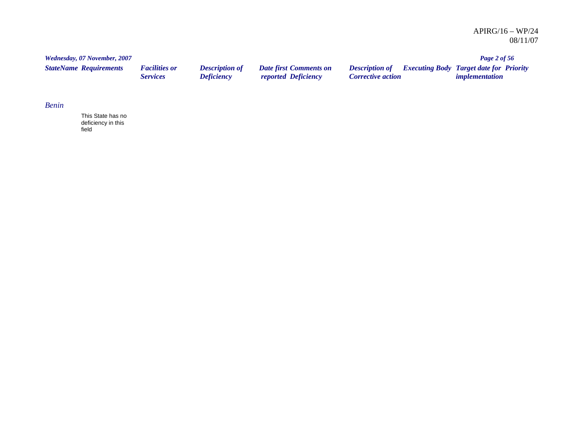*Wednesday, 07 November, 2007 Page 2 of 56*

*StateName*

*Services*

*reported Deficiency* 

*Facilities or Description of Date first Comments on Description of Executing Body Target date for Priority*<br>*Services Deficiency reported Deficiency Corrective action implementation* 

#### *Benin*

This State has no deficiency in this field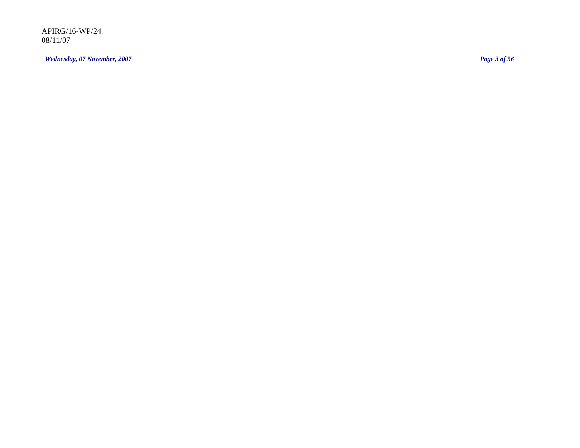*Wednesday, 07 November, 2007 Page 3 of 56*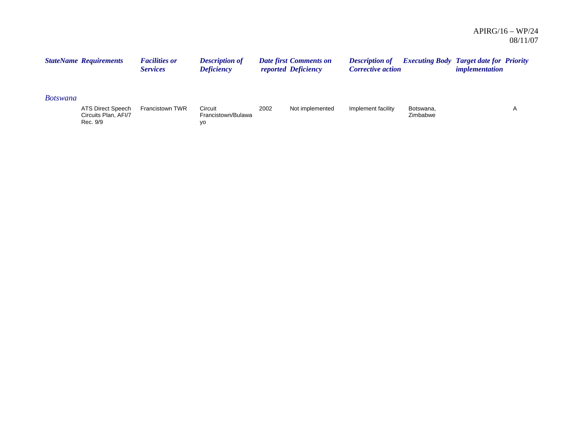|                 | <b>StateName Requirements</b>                         | <b>Facilities or</b><br><b>Services</b> | <b>Description of</b><br><b>Deficiency</b> |      | <b>Date first Comments on</b><br>reported Deficiency | <b>Description of</b><br><b>Corrective action</b> |                       | <b>Executing Body Target date for Priority</b><br>implementation |  |
|-----------------|-------------------------------------------------------|-----------------------------------------|--------------------------------------------|------|------------------------------------------------------|---------------------------------------------------|-----------------------|------------------------------------------------------------------|--|
| <b>Botswana</b> | ATS Direct Speech<br>Circuits Plan, AFI/7<br>Rec. 9/9 | <b>Francistown TWR</b>                  | Circuit<br>Francistown/Bulawa<br>yo        | 2002 | Not implemented                                      | Implement facility                                | Botswana,<br>Zimbabwe |                                                                  |  |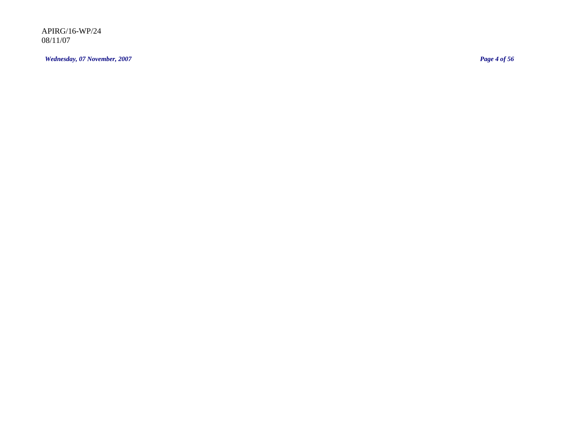*Wednesday, 07 November, 2007 Page 4 of 56*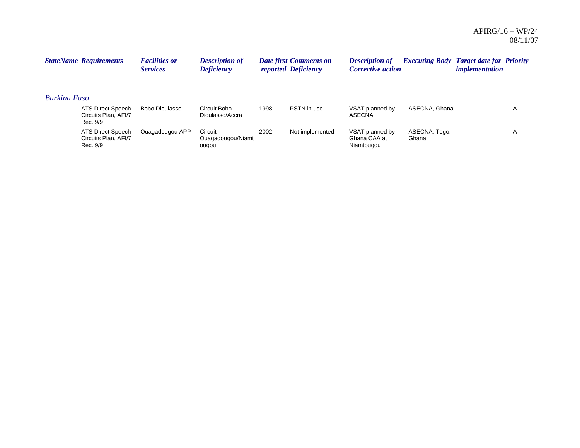|                     | <b>StateName Requirements</b>                         | <b>Facilities or</b><br><b>Services</b> | <b>Description of</b><br><b>Deficiency</b> |      | <b>Date first Comments on</b><br>reported Deficiency | <b>Description of</b><br><b>Corrective action</b> | <b>Executing Body Target date for Priority</b> | <i>implementation</i> |   |
|---------------------|-------------------------------------------------------|-----------------------------------------|--------------------------------------------|------|------------------------------------------------------|---------------------------------------------------|------------------------------------------------|-----------------------|---|
| <b>Burkina Faso</b> |                                                       |                                         |                                            |      |                                                      |                                                   |                                                |                       |   |
|                     | ATS Direct Speech<br>Circuits Plan, AFI/7<br>Rec. 9/9 | Bobo Dioulasso                          | Circuit Bobo<br>Dioulasso/Accra            | 1998 | PSTN in use                                          | VSAT planned by<br><b>ASECNA</b>                  | ASECNA, Ghana                                  |                       | A |
|                     | ATS Direct Speech<br>Circuits Plan, AFI/7<br>Rec. 9/9 | Ouagadougou APP                         | Circuit<br>Ouagadougou/Niamt<br>ougou      | 2002 | Not implemented                                      | VSAT planned by<br>Ghana CAA at<br>Niamtougou     | ASECNA, Togo,<br>Ghana                         |                       | A |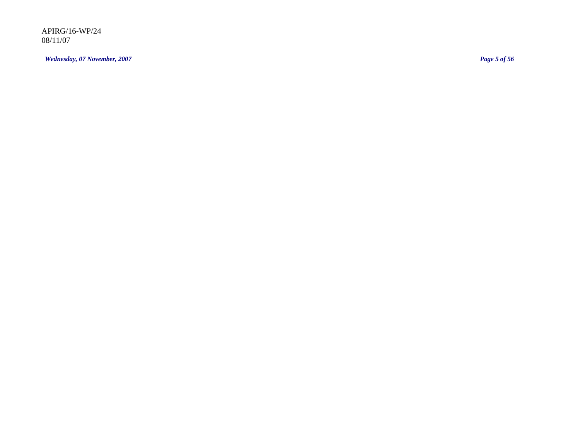*Wednesday, 07 November, 2007 Page 5 of 56*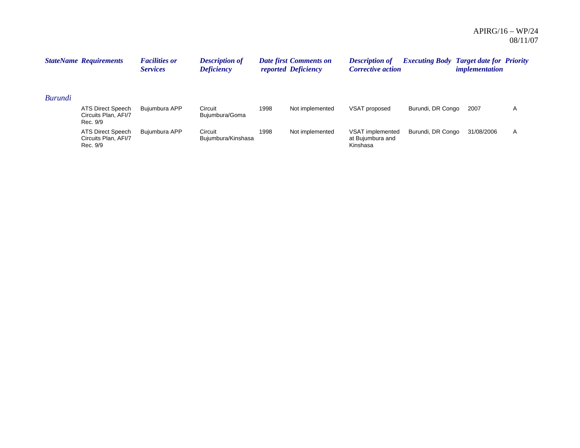|         | <b>StateName Requirements</b>                         | <b>Facilities or</b><br><b>Services</b> | <b>Description of</b><br><b>Deficiency</b> |      | <b>Date first Comments on</b><br>reported Deficiency | <b>Description of</b><br><b>Corrective action</b> | <b>Executing Body Target date for Priority</b> | <i>implementation</i> |   |
|---------|-------------------------------------------------------|-----------------------------------------|--------------------------------------------|------|------------------------------------------------------|---------------------------------------------------|------------------------------------------------|-----------------------|---|
| Burundi |                                                       |                                         |                                            |      |                                                      |                                                   |                                                |                       |   |
|         | ATS Direct Speech<br>Circuits Plan, AFI/7<br>Rec. 9/9 | Bujumbura APP                           | Circuit<br>Bujumbura/Goma                  | 1998 | Not implemented                                      | VSAT proposed                                     | Burundi, DR Congo                              | 2007                  | A |
|         | ATS Direct Speech<br>Circuits Plan, AFI/7<br>Rec. 9/9 | Bujumbura APP                           | Circuit<br>Bujumbura/Kinshasa              | 1998 | Not implemented                                      | VSAT implemented<br>at Bujumbura and<br>Kinshasa  | Burundi, DR Congo                              | 31/08/2006            | A |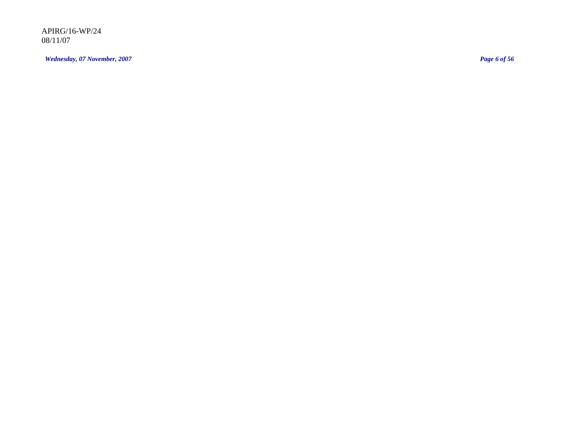*Wednesday, 07 November, 2007 Page 6 of 56*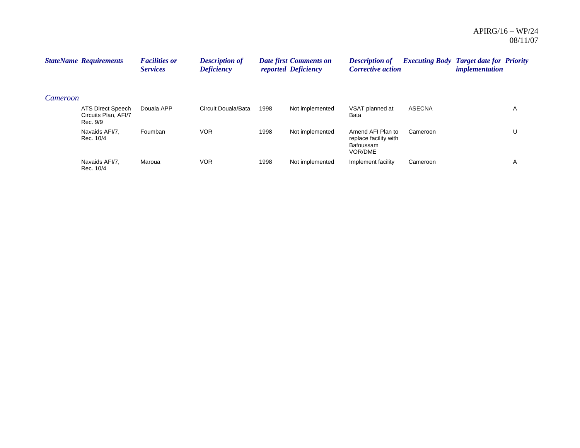|          | <b>StateName Requirements</b>                         | <b>Facilities or</b><br><b>Services</b> | <b>Description of</b><br><b>Deficiency</b> |      | <b>Date first Comments on</b><br>reported Deficiency | <b>Description of</b><br><b>Corrective action</b>                  | <b>Executing Body Target date for Priority</b> | <i>implementation</i> |   |
|----------|-------------------------------------------------------|-----------------------------------------|--------------------------------------------|------|------------------------------------------------------|--------------------------------------------------------------------|------------------------------------------------|-----------------------|---|
| Cameroon |                                                       |                                         |                                            |      |                                                      |                                                                    |                                                |                       |   |
|          | ATS Direct Speech<br>Circuits Plan, AFI/7<br>Rec. 9/9 | Douala APP                              | Circuit Douala/Bata                        | 1998 | Not implemented                                      | VSAT planned at<br>Bata                                            | <b>ASECNA</b>                                  |                       | A |
|          | Navaids AFI/7.<br>Rec. 10/4                           | Foumban                                 | <b>VOR</b>                                 | 1998 | Not implemented                                      | Amend AFI Plan to<br>replace facility with<br>Bafoussam<br>VOR/DME | Cameroon                                       |                       | U |
|          | Navaids AFI/7,<br>Rec. 10/4                           | Maroua                                  | <b>VOR</b>                                 | 1998 | Not implemented                                      | Implement facility                                                 | Cameroon                                       |                       | A |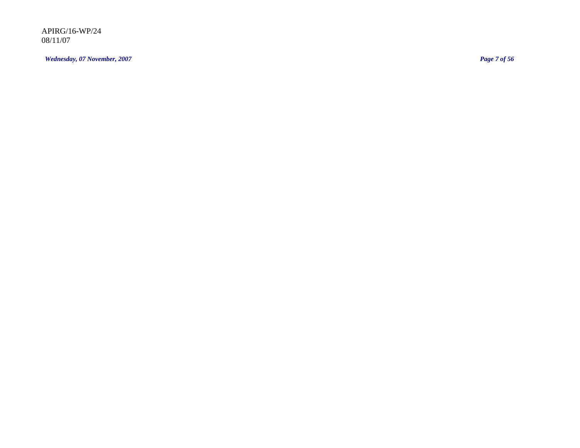*Wednesday, 07 November, 2007 Page 7 of 56*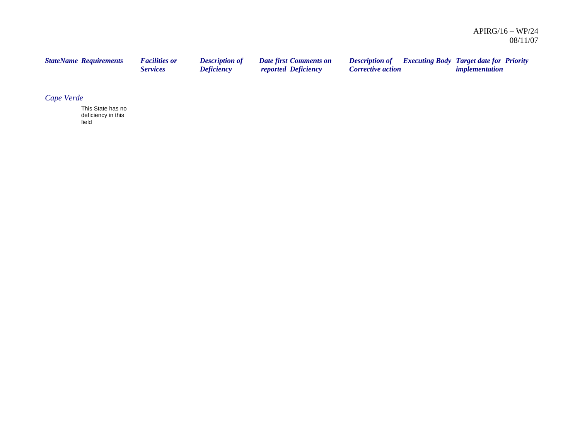*StateName*

*Services*

*reported Deficiency* 

*Facilities or Description of Date first Comments on Description of Executing Body Target date for Priority*<br>*Services Deficiency reported Deficiency Corrective action implementation* 

### *Cape Verde*

This State has no deficiency in this field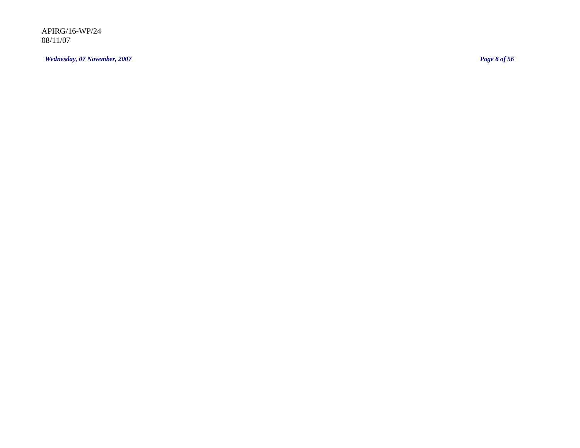*Wednesday, 07 November, 2007 Page 8 of 56*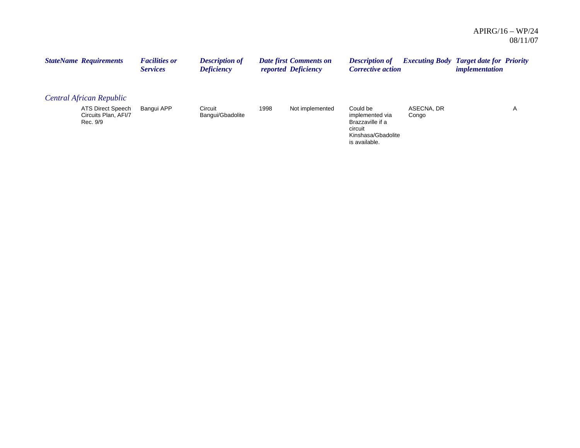| <b>StateName Requirements</b>                                                            | <b>Facilities or</b><br><b>Services</b> | <b>Description of</b><br><b>Deficiency</b> |      | <b>Date first Comments on</b><br>reported Deficiency | <b>Description of</b><br><b>Corrective action</b>                                                 |                     | <b>Executing Body Target date for Priority</b><br><i>implementation</i> |   |
|------------------------------------------------------------------------------------------|-----------------------------------------|--------------------------------------------|------|------------------------------------------------------|---------------------------------------------------------------------------------------------------|---------------------|-------------------------------------------------------------------------|---|
| <b>Central African Republic</b><br>ATS Direct Speech<br>Circuits Plan, AFI/7<br>Rec. 9/9 | Bangui APP                              | Circuit<br>Bangui/Gbadolite                | 1998 | Not implemented                                      | Could be<br>implemented via<br>Brazzaville if a<br>circuit<br>Kinshasa/Gbadolite<br>is available. | ASECNA, DR<br>Congo |                                                                         | A |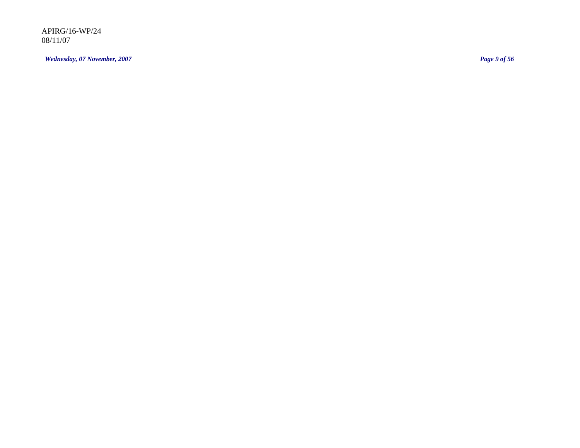*Wednesday, 07 November, 2007 Page 9 of 56*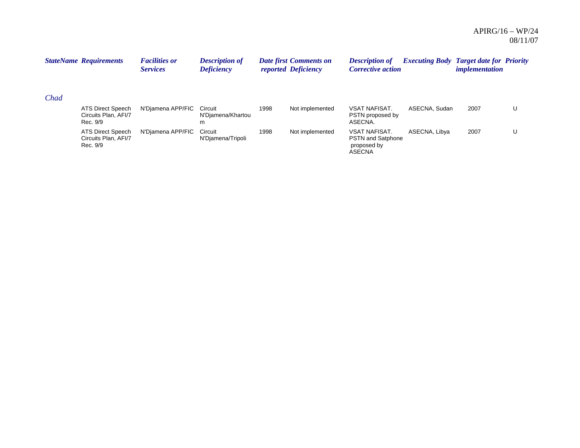|      | <b>StateName Requirements</b>                         | <b>Facilities or</b><br><b>Services</b> | <b>Description of</b><br><b>Deficiency</b> |      | <b>Date first Comments on</b><br>reported Deficiency | <b>Description of</b><br><b>Corrective action</b>                                | <b>Executing Body Target date for Priority</b> | <i>implementation</i> |   |
|------|-------------------------------------------------------|-----------------------------------------|--------------------------------------------|------|------------------------------------------------------|----------------------------------------------------------------------------------|------------------------------------------------|-----------------------|---|
| Chad |                                                       |                                         |                                            |      |                                                      |                                                                                  |                                                |                       |   |
|      | ATS Direct Speech<br>Circuits Plan, AFI/7<br>Rec. 9/9 | N'Djamena APP/FIC                       | Circuit<br>N'Diamena/Khartou<br>m          | 1998 | Not implemented                                      | <b>VSAT NAFISAT.</b><br>PSTN proposed by<br>ASECNA.                              | ASECNA, Sudan                                  | 2007                  | U |
|      | ATS Direct Speech<br>Circuits Plan, AFI/7<br>Rec. 9/9 | N'Diamena APP/FIC                       | Circuit<br>N'Djamena/Tripoli               | 1998 | Not implemented                                      | <b>VSAT NAFISAT.</b><br><b>PSTN and Satphone</b><br>proposed by<br><b>ASECNA</b> | ASECNA, Libva                                  | 2007                  | U |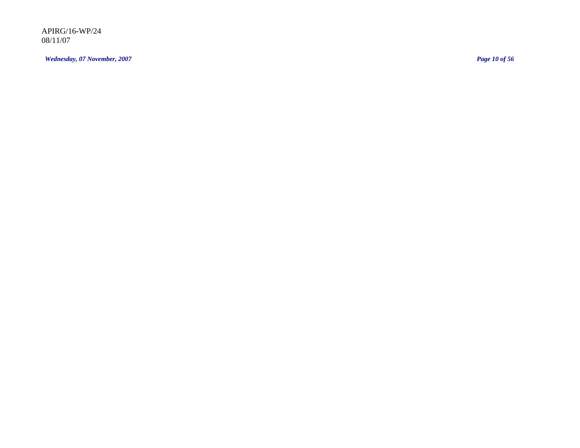*Wednesday, 07 November, 2007 Page 10 of 56*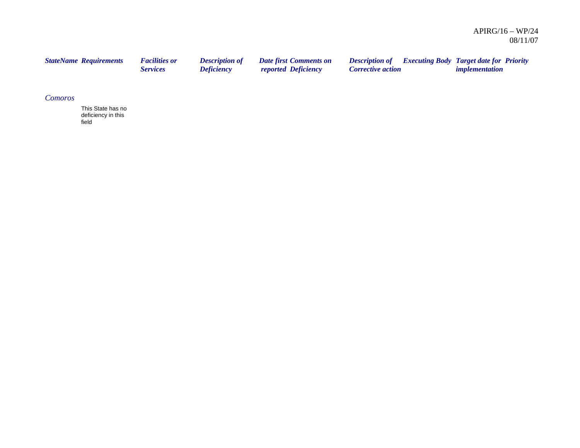*StateName*

*Services*

 *Requirements Facilities or Description of Date first Comments on Description of Executing Body Target date for Priority Deficiency reported Deficiency Corrective action implementation*

#### *Comoros*

This State has no deficiency in this field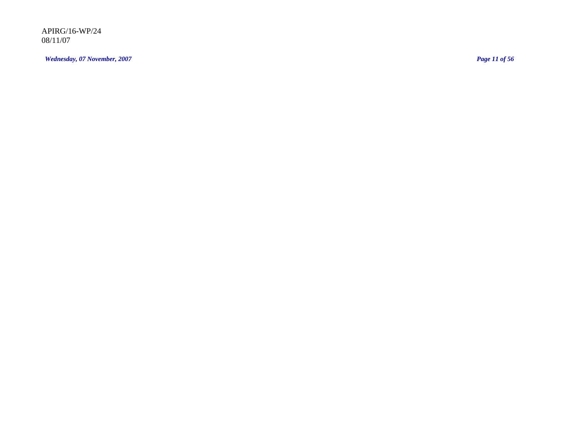*Wednesday, 07 November, 2007 Page 11 of 56*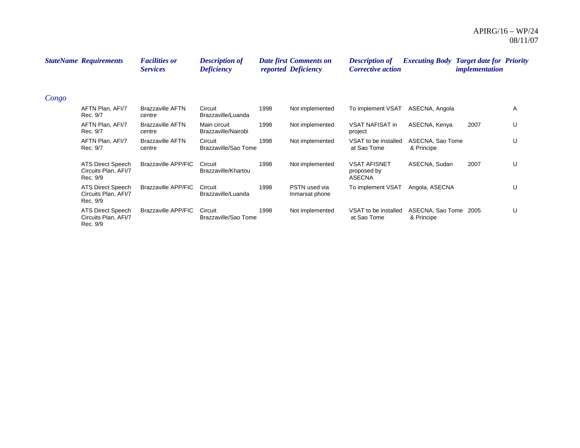|       | <b>StateName Requirements</b>                                | <b>Facilities or</b><br><b>Services</b> | <b>Description of</b><br><b>Deficiency</b> |      | <b>Date first Comments on</b><br>reported Deficiency | <b>Description of</b><br><b>Corrective action</b>   | <b>Executing Body Target date for Priority</b> | <i>implementation</i> |   |
|-------|--------------------------------------------------------------|-----------------------------------------|--------------------------------------------|------|------------------------------------------------------|-----------------------------------------------------|------------------------------------------------|-----------------------|---|
| Congo |                                                              |                                         |                                            |      |                                                      |                                                     |                                                |                       |   |
|       | AFTN Plan, AFI/7<br>Rec. 9/7                                 | <b>Brazzaville AFTN</b><br>centre       | Circuit<br>Brazzaville/Luanda              | 1998 | Not implemented                                      | To implement VSAT                                   | ASECNA, Angola                                 |                       | A |
|       | AFTN Plan, AFI/7<br>Rec. 9/7                                 | <b>Brazzaville AFTN</b><br>centre       | Main circuit<br>Brazzaville/Nairobi        | 1998 | Not implemented                                      | <b>VSAT NAFISAT in</b><br>project                   | ASECNA, Kenya                                  | 2007                  | U |
|       | AFTN Plan, AFI/7<br>Rec. 9/7                                 | <b>Brazzaville AFTN</b><br>centre       | Circuit<br>Brazzaville/Sao Tome            | 1998 | Not implemented                                      | VSAT to be installed<br>at Sao Tome                 | ASECNA, Sao Tome<br>& Principe                 |                       | U |
|       | ATS Direct Speech<br>Circuits Plan, AFI/7<br>Rec. 9/9        | <b>Brazzaville APP/FIC</b>              | Circuit<br>Brazzaville/Khartou             | 1998 | Not implemented                                      | <b>VSAT AFISNET</b><br>proposed by<br><b>ASECNA</b> | ASECNA, Sudan                                  | 2007                  | U |
|       | <b>ATS Direct Speech</b><br>Circuits Plan, AFI/7<br>Rec. 9/9 | <b>Brazzaville APP/FIC</b>              | Circuit<br>Brazzaville/Luanda              | 1998 | PSTN used via<br>Inmarsat phone                      | To implement VSAT                                   | Angola, ASECNA                                 |                       | U |
|       | ATS Direct Speech<br>Circuits Plan, AFI/7<br>Rec. 9/9        | <b>Brazzaville APP/FIC</b>              | Circuit<br>Brazzaville/Sao Tome            | 1998 | Not implemented                                      | VSAT to be installed<br>at Sao Tome                 | ASECNA, Sao Tome 2005<br>& Principe            |                       | U |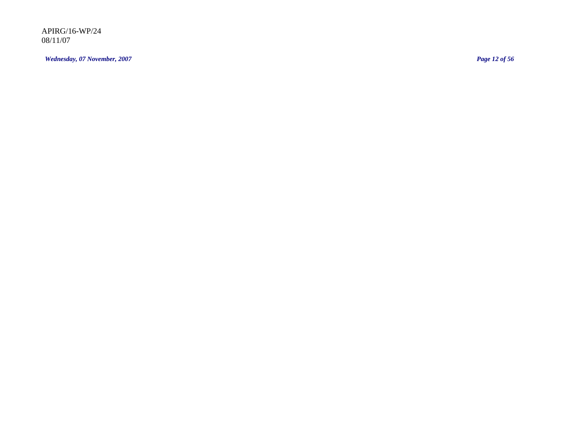*Wednesday, 07 November, 2007 Page 12 of 56*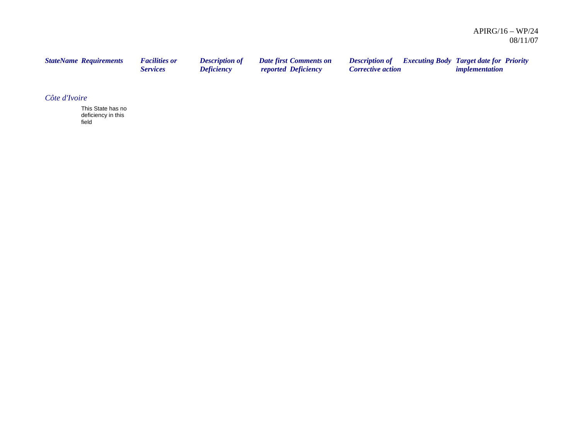*StateName*

*Services*

*reported Deficiency* 

*Facilities or Description of Date first Comments on Description of Executing Body Target date for Priority*<br>*Services Deficiency reported Deficiency Corrective action implementation* 

#### *Côte d'Ivoire*

This State has no deficiency in this field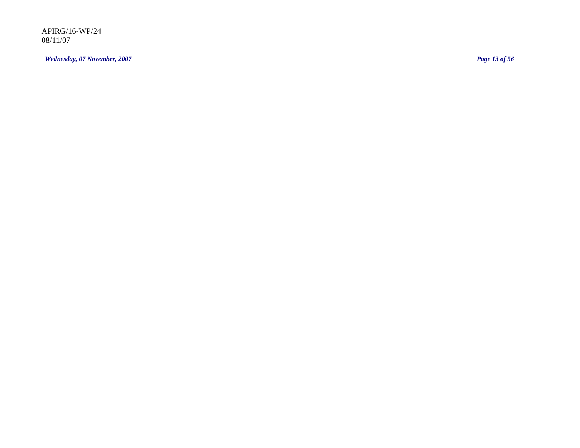*Wednesday, 07 November, 2007 Page 13 of 56*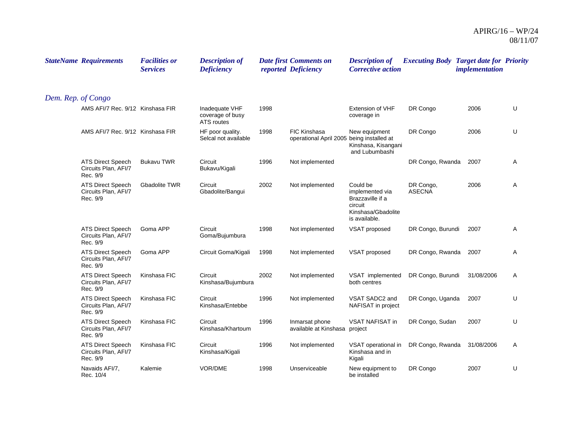|                    | <b>StateName Requirements</b>                                | <b>Facilities or</b><br><b>Services</b> | <b>Description of</b><br><b>Deficiency</b>       |      | <b>Date first Comments on</b><br>reported Deficiency             | <b>Description of</b><br><b>Corrective action</b>                                                 | <b>Executing Body Target date for Priority</b> | <i>implementation</i> |   |
|--------------------|--------------------------------------------------------------|-----------------------------------------|--------------------------------------------------|------|------------------------------------------------------------------|---------------------------------------------------------------------------------------------------|------------------------------------------------|-----------------------|---|
| Dem. Rep. of Congo |                                                              |                                         |                                                  |      |                                                                  |                                                                                                   |                                                |                       |   |
|                    | AMS AFI/7 Rec. 9/12 Kinshasa FIR                             |                                         | Inadequate VHF<br>coverage of busy<br>ATS routes | 1998 |                                                                  | Extension of VHF<br>coverage in                                                                   | DR Congo                                       | 2006                  | U |
|                    | AMS AFI/7 Rec. 9/12 Kinshasa FIR                             |                                         | HF poor quality.<br>Selcal not available         | 1998 | <b>FIC Kinshasa</b><br>operational April 2005 being installed at | New equipment<br>Kinshasa, Kisangani<br>and Lubumbashi                                            | DR Congo                                       | 2006                  | U |
|                    | <b>ATS Direct Speech</b><br>Circuits Plan, AFI/7<br>Rec. 9/9 | <b>Bukavu TWR</b>                       | Circuit<br>Bukavu/Kigali                         | 1996 | Not implemented                                                  |                                                                                                   | DR Congo, Rwanda                               | 2007                  | Α |
|                    | <b>ATS Direct Speech</b><br>Circuits Plan, AFI/7<br>Rec. 9/9 | Gbadolite TWR                           | Circuit<br>Gbadolite/Bangui                      | 2002 | Not implemented                                                  | Could be<br>implemented via<br>Brazzaville if a<br>circuit<br>Kinshasa/Gbadolite<br>is available. | DR Congo,<br><b>ASECNA</b>                     | 2006                  | Α |
|                    | <b>ATS Direct Speech</b><br>Circuits Plan, AFI/7<br>Rec. 9/9 | Goma APP                                | Circuit<br>Goma/Bujumbura                        | 1998 | Not implemented                                                  | VSAT proposed                                                                                     | DR Congo, Burundi                              | 2007                  | Α |
|                    | <b>ATS Direct Speech</b><br>Circuits Plan, AFI/7<br>Rec. 9/9 | Goma APP                                | Circuit Goma/Kigali                              | 1998 | Not implemented                                                  | VSAT proposed                                                                                     | DR Congo, Rwanda                               | 2007                  | Α |
|                    | <b>ATS Direct Speech</b><br>Circuits Plan, AFI/7<br>Rec. 9/9 | Kinshasa FIC                            | Circuit<br>Kinshasa/Bujumbura                    | 2002 | Not implemented                                                  | VSAT implemented<br>both centres                                                                  | DR Congo, Burundi                              | 31/08/2006            | Α |
|                    | <b>ATS Direct Speech</b><br>Circuits Plan, AFI/7<br>Rec. 9/9 | Kinshasa FIC                            | Circuit<br>Kinshasa/Entebbe                      | 1996 | Not implemented                                                  | VSAT SADC2 and<br>NAFISAT in project                                                              | DR Congo, Uganda                               | 2007                  | U |
|                    | <b>ATS Direct Speech</b><br>Circuits Plan, AFI/7<br>Rec. 9/9 | Kinshasa FIC                            | Circuit<br>Kinshasa/Khartoum                     | 1996 | Inmarsat phone<br>available at Kinshasa project                  | <b>VSAT NAFISAT in</b>                                                                            | DR Congo, Sudan                                | 2007                  | U |
|                    | <b>ATS Direct Speech</b><br>Circuits Plan, AFI/7<br>Rec. 9/9 | Kinshasa FIC                            | Circuit<br>Kinshasa/Kigali                       | 1996 | Not implemented                                                  | VSAT operational in<br>Kinshasa and in<br>Kigali                                                  | DR Congo, Rwanda                               | 31/08/2006            | A |
|                    | Navaids AFI/7.<br>Rec. 10/4                                  | Kalemie                                 | VOR/DME                                          | 1998 | Unserviceable                                                    | New equipment to<br>be installed                                                                  | DR Congo                                       | 2007                  | U |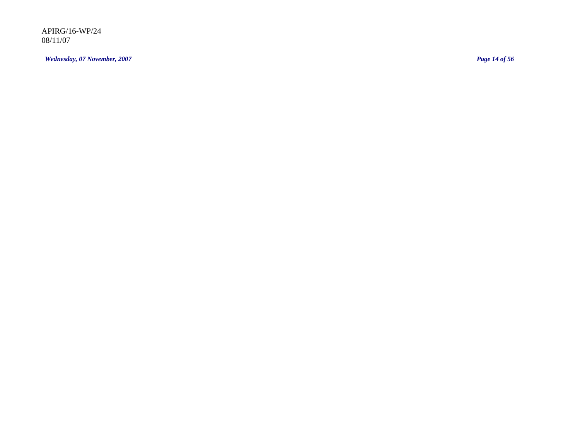*Wednesday, 07 November, 2007 Page 14 of 56*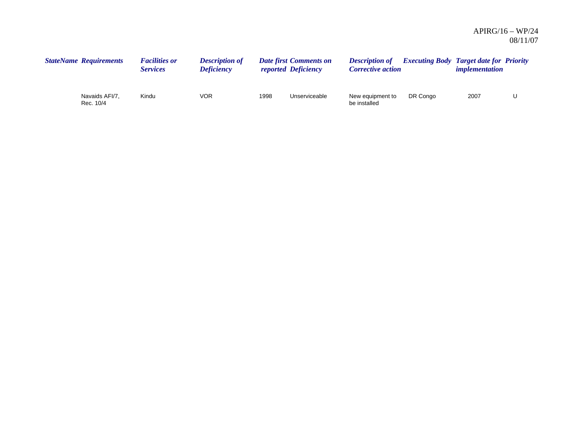| <b>StateName Requirements</b> | <i><b>Facilities or</b></i><br><b>Services</b> | <b>Description of</b><br><b>Deficiency</b> |      | <b>Date first Comments on</b><br><i>reported Deficiency</i> | <b>Description of</b><br>Corrective action |          | <b>Executing Body Target date for Priority</b><br><i>implementation</i> |  |
|-------------------------------|------------------------------------------------|--------------------------------------------|------|-------------------------------------------------------------|--------------------------------------------|----------|-------------------------------------------------------------------------|--|
| Navaids AFI/7,<br>Rec. 10/4   | Kindu                                          | <b>VOR</b>                                 | 1998 | Unserviceable                                               | New equipment to<br>be installed           | DR Congo | 2007                                                                    |  |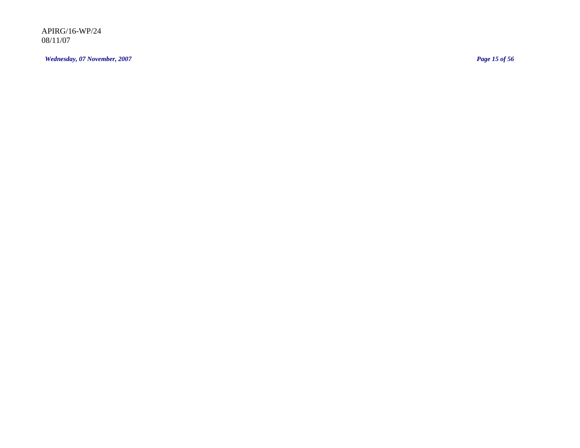*Wednesday, 07 November, 2007 Page 15 of 56*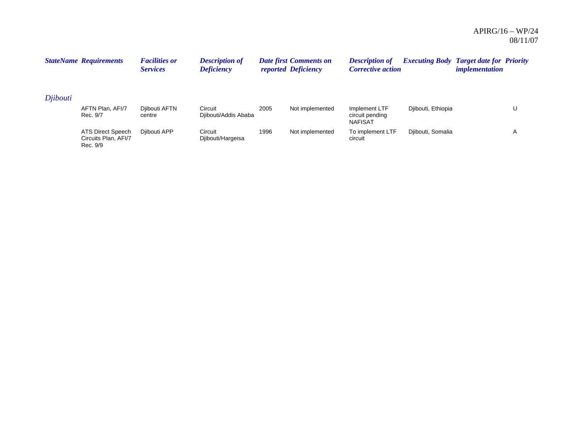|          | <b>StateName Requirements</b>                         | <b>Facilities or</b><br><b>Services</b> | <b>Description of</b><br><b>Deficiency</b> |      | <b>Date first Comments on</b><br>reported Deficiency | <b>Description of</b><br><b>Corrective action</b> | <b>Executing Body Target date for Priority</b> | <i>implementation</i> |   |
|----------|-------------------------------------------------------|-----------------------------------------|--------------------------------------------|------|------------------------------------------------------|---------------------------------------------------|------------------------------------------------|-----------------------|---|
| Djibouti | AFTN Plan, AFI/7                                      | Diibouti AFTN                           | Circuit                                    | 2005 | Not implemented                                      | Implement LTF                                     | Diibouti, Ethiopia                             |                       | U |
|          | Rec. 9/7                                              | centre                                  | Diibouti/Addis Ababa                       |      |                                                      | circuit pending<br><b>NAFISAT</b>                 |                                                |                       |   |
|          | ATS Direct Speech<br>Circuits Plan, AFI/7<br>Rec. 9/9 | Djibouti APP                            | Circuit<br>Diibouti/Hargeisa               | 1996 | Not implemented                                      | To implement LTF<br>circuit                       | Diibouti, Somalia                              |                       | A |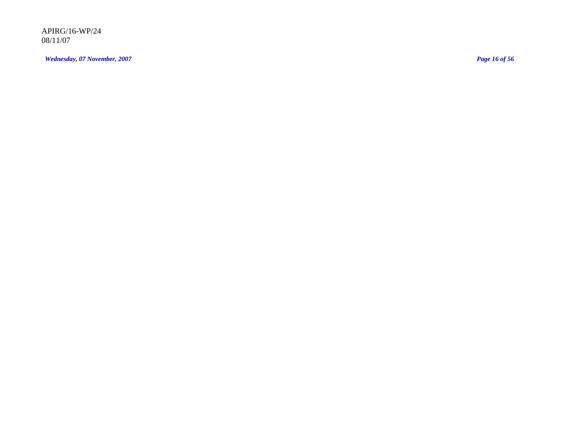*Wednesday, 07 November, 2007 Page 16 of 56*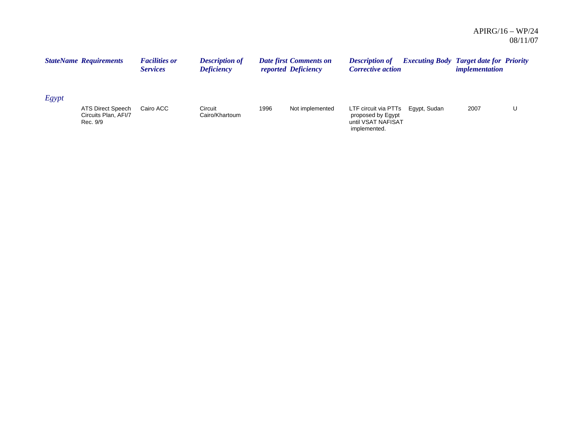|       | <b>StateName Requirements</b>                         | <b>Facilities or</b><br><b>Services</b> | <b>Description of</b><br><b>Deficiency</b> |      | <b>Date first Comments on</b><br>reported Deficiency | <b>Description of</b><br><b>Corrective action</b>                               |              | <b>Executing Body Target date for Priority</b><br>implementation |  |
|-------|-------------------------------------------------------|-----------------------------------------|--------------------------------------------|------|------------------------------------------------------|---------------------------------------------------------------------------------|--------------|------------------------------------------------------------------|--|
| Egypt | ATS Direct Speech<br>Circuits Plan, AFI/7<br>Rec. 9/9 | Cairo ACC                               | Circuit<br>Cairo/Khartoum                  | 1996 | Not implemented                                      | LTF circuit via PTTs<br>proposed by Egypt<br>until VSAT NAFISAT<br>implemented. | Egypt, Sudan | 2007                                                             |  |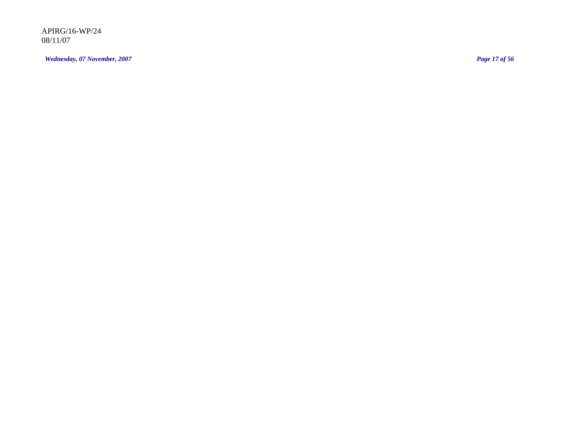*Wednesday, 07 November, 2007 Page 17 of 56*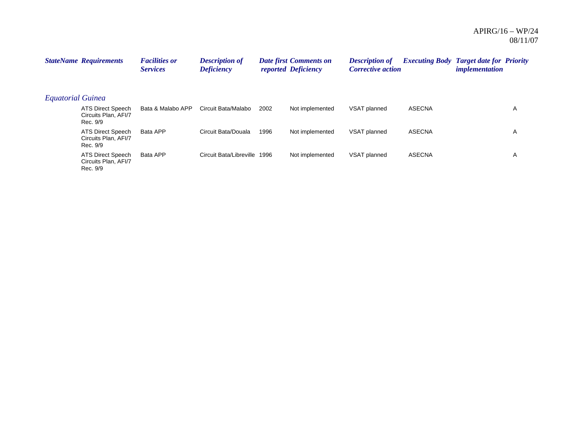|                          | <b>StateName Requirements</b>                                | <b>Facilities or</b><br><b>Services</b> | <b>Description of</b><br><b>Deficiency</b> |      | <b>Date first Comments on</b><br>reported Deficiency | <b>Description of</b><br><b>Corrective action</b> | <b>Executing Body Target date for Priority</b> | <i>implementation</i> |   |
|--------------------------|--------------------------------------------------------------|-----------------------------------------|--------------------------------------------|------|------------------------------------------------------|---------------------------------------------------|------------------------------------------------|-----------------------|---|
| <b>Equatorial Guinea</b> |                                                              |                                         |                                            |      |                                                      |                                                   |                                                |                       |   |
|                          | ATS Direct Speech<br>Circuits Plan, AFI/7<br>Rec. 9/9        | Bata & Malabo APP                       | Circuit Bata/Malabo                        | 2002 | Not implemented                                      | VSAT planned                                      | <b>ASECNA</b>                                  |                       | A |
|                          | <b>ATS Direct Speech</b><br>Circuits Plan, AFI/7<br>Rec. 9/9 | Bata APP                                | Circuit Bata/Douala                        | 1996 | Not implemented                                      | VSAT planned                                      | <b>ASECNA</b>                                  |                       | A |
|                          | ATS Direct Speech<br>Circuits Plan, AFI/7<br>Rec. 9/9        | Bata APP                                | Circuit Bata/Libreville 1996               |      | Not implemented                                      | VSAT planned                                      | <b>ASECNA</b>                                  |                       | A |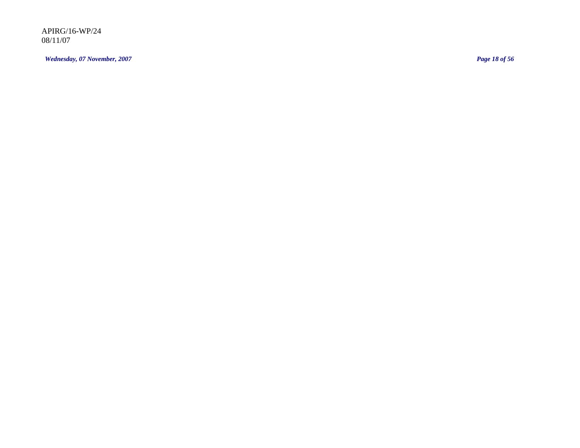*Wednesday, 07 November, 2007 Page 18 of 56*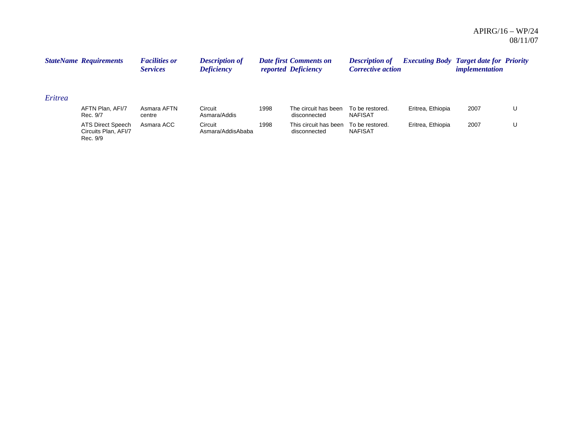|         | <b>StateName Requirements</b>                         | <b>Facilities or</b><br><b>Services</b> | <b>Description of</b><br><b>Deficiency</b> |      | <b>Date first Comments on</b><br>reported Deficiency | <b>Description of</b><br><b>Corrective action</b> | <b>Executing Body Target date for Priority</b> | <i>implementation</i> |   |
|---------|-------------------------------------------------------|-----------------------------------------|--------------------------------------------|------|------------------------------------------------------|---------------------------------------------------|------------------------------------------------|-----------------------|---|
| Eritrea |                                                       |                                         |                                            |      |                                                      |                                                   |                                                |                       |   |
|         | AFTN Plan, AFI/7<br>Rec. 9/7                          | Asmara AFTN<br>centre                   | Circuit<br>Asmara/Addis                    | 1998 | The circuit has been<br>disconnected                 | To be restored.<br><b>NAFISAT</b>                 | Eritrea. Ethiopia                              | 2007                  | U |
|         | ATS Direct Speech<br>Circuits Plan, AFI/7<br>Rec. 9/9 | Asmara ACC                              | Circuit<br>Asmara/AddisAbaba               | 1998 | This circuit has been<br>disconnected                | To be restored.<br><b>NAFISAT</b>                 | Eritrea. Ethiopia                              | 2007                  | U |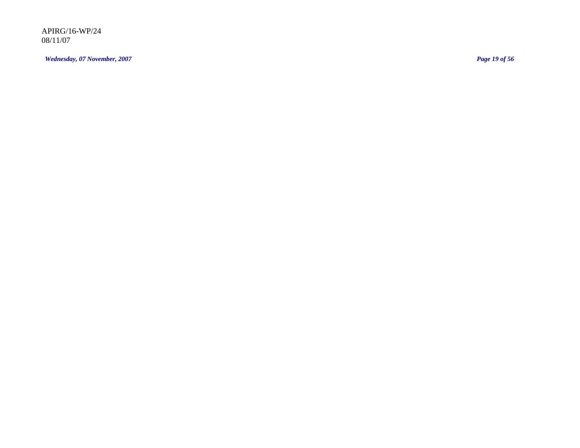*Wednesday, 07 November, 2007 Page 19 of 56*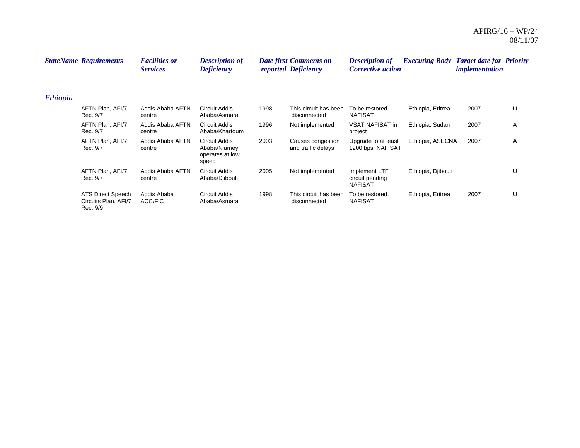|          | <b>StateName Requirements</b>                         | <b>Facilities or</b><br><b>Services</b> | <b>Description of</b><br><b>Deficiency</b>                |      | <b>Date first Comments on</b><br>reported Deficiency | <b>Description of</b><br><b>Corrective action</b>  | <b>Executing Body</b> | <b>Target date for Priority</b><br><i>implementation</i> |    |
|----------|-------------------------------------------------------|-----------------------------------------|-----------------------------------------------------------|------|------------------------------------------------------|----------------------------------------------------|-----------------------|----------------------------------------------------------|----|
| Ethiopia |                                                       |                                         |                                                           |      |                                                      |                                                    |                       |                                                          |    |
|          | AFTN Plan, AFI/7<br>Rec. 9/7                          | Addis Ababa AFTN<br>centre              | Circuit Addis<br>Ababa/Asmara                             | 1998 | This circuit has been<br>disconnected                | To be restored.<br><b>NAFISAT</b>                  | Ethiopia, Eritrea     | 2007                                                     | U  |
|          | AFTN Plan, AFI/7<br>Rec. 9/7                          | Addis Ababa AFTN<br>centre              | Circuit Addis<br>Ababa/Khartoum                           | 1996 | Not implemented                                      | VSAT NAFISAT in<br>project                         | Ethiopia, Sudan       | 2007                                                     | A  |
|          | AFTN Plan, AFI/7<br>Rec. 9/7                          | Addis Ababa AFTN<br>centre              | Circuit Addis<br>Ababa/Niamey<br>operates at low<br>speed | 2003 | Causes congestion<br>and traffic delays              | Upgrade to at least<br>1200 bps. NAFISAT           | Ethiopia, ASECNA      | 2007                                                     | A  |
|          | AFTN Plan, AFI/7<br>Rec. 9/7                          | Addis Ababa AFTN<br>centre              | Circuit Addis<br>Ababa/Djibouti                           | 2005 | Not implemented                                      | Implement LTF<br>circuit pending<br><b>NAFISAT</b> | Ethiopia, Djibouti    |                                                          | U  |
|          | ATS Direct Speech<br>Circuits Plan, AFI/7<br>Rec. 9/9 | Addis Ababa<br>ACC/FIC                  | Circuit Addis<br>Ababa/Asmara                             | 1998 | This circuit has been<br>disconnected                | To be restored.<br><b>NAFISAT</b>                  | Ethiopia, Eritrea     | 2007                                                     | IJ |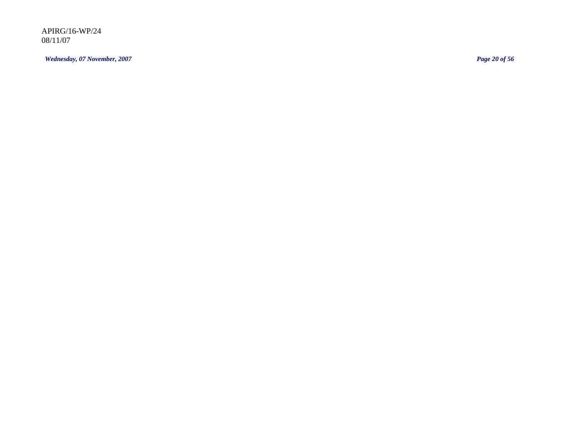*Wednesday, 07 November, 2007 Page 20 of 56*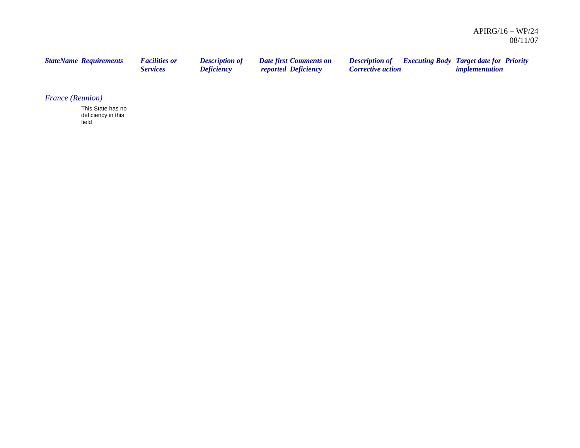*StateName*

*Services*

 *Requirements Facilities or Description of Date first Comments on Description of Executing Body Target date for Priority Deficiency reported Deficiency Corrective action implementation*

## *France (Reunion)*

This State has no deficiency in this field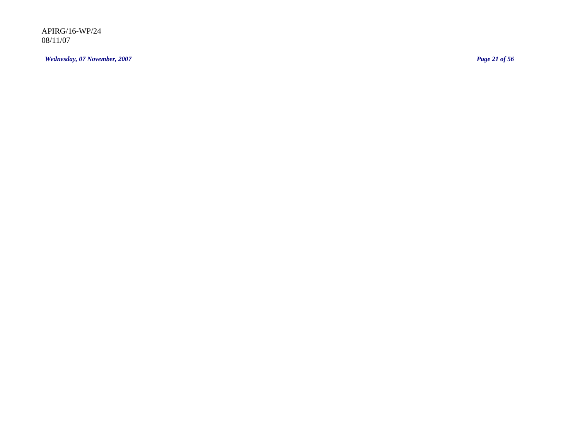*Wednesday, 07 November, 2007 Page 21 of 56*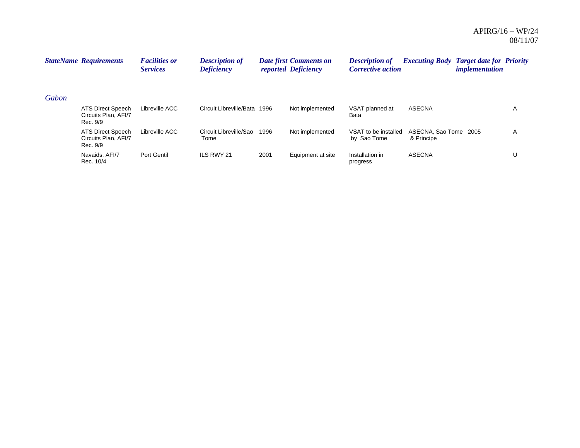|       | <b>StateName Requirements</b>                         | <b>Facilities or</b><br><b>Services</b> | <b>Description of</b><br><b>Deficiency</b> |      | <b>Date first Comments on</b><br>reported Deficiency | <b>Description of</b><br><b>Corrective action</b> | <i><b>Executing Body</b></i>        | <b>Target date for Priority</b><br><i>implementation</i> |   |
|-------|-------------------------------------------------------|-----------------------------------------|--------------------------------------------|------|------------------------------------------------------|---------------------------------------------------|-------------------------------------|----------------------------------------------------------|---|
| Gabon |                                                       |                                         |                                            |      |                                                      |                                                   |                                     |                                                          |   |
|       | ATS Direct Speech<br>Circuits Plan, AFI/7<br>Rec. 9/9 | Libreville ACC                          | Circuit Libreville/Bata                    | 1996 | Not implemented                                      | VSAT planned at<br>Bata                           | <b>ASECNA</b>                       |                                                          | A |
|       | ATS Direct Speech<br>Circuits Plan, AFI/7<br>Rec. 9/9 | Libreville ACC                          | Circuit Libreville/Sao<br>Tome             | 1996 | Not implemented                                      | VSAT to be installed<br>by Sao Tome               | ASECNA, Sao Tome 2005<br>& Principe |                                                          | A |
|       | Navaids, AFI/7<br>Rec. 10/4                           | Port Gentil                             | ILS RWY 21                                 | 2001 | Equipment at site                                    | Installation in<br>progress                       | <b>ASECNA</b>                       |                                                          | U |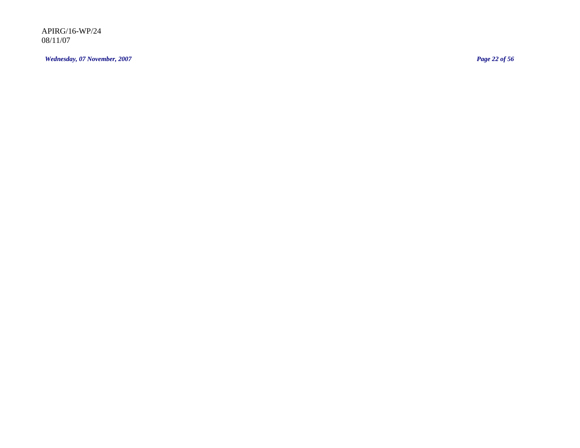*Wednesday, 07 November, 2007 Page 22 of 56*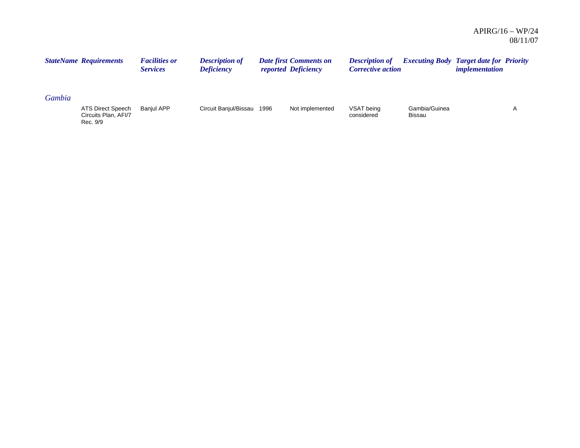|        | <b>StateName Requirements</b>                         | <b>Facilities or</b><br><b>Services</b> | <b>Description of</b><br><b>Deficiency</b> |      | <b>Date first Comments on</b><br><i>reported Deficiency</i> | <b>Description of</b><br><b>Corrective action</b> |                         | <b>Executing Body Target date for Priority</b><br>implementation |   |
|--------|-------------------------------------------------------|-----------------------------------------|--------------------------------------------|------|-------------------------------------------------------------|---------------------------------------------------|-------------------------|------------------------------------------------------------------|---|
| Gambia | ATS Direct Speech<br>Circuits Plan, AFI/7<br>Rec. 9/9 | <b>Baniul APP</b>                       | Circuit Banjul/Bissau                      | 1996 | Not implemented                                             | VSAT being<br>considered                          | Gambia/Guinea<br>Bissau |                                                                  | A |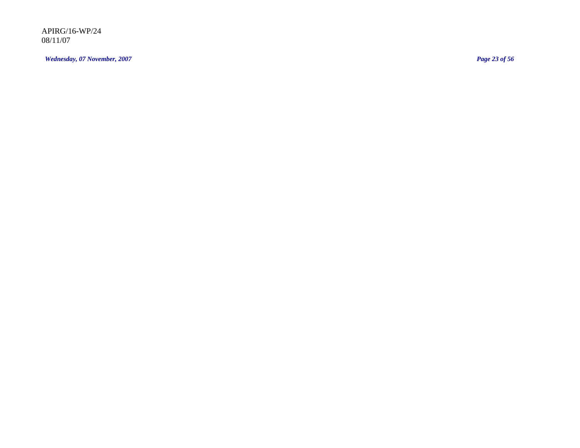*Wednesday, 07 November, 2007 Page 23 of 56*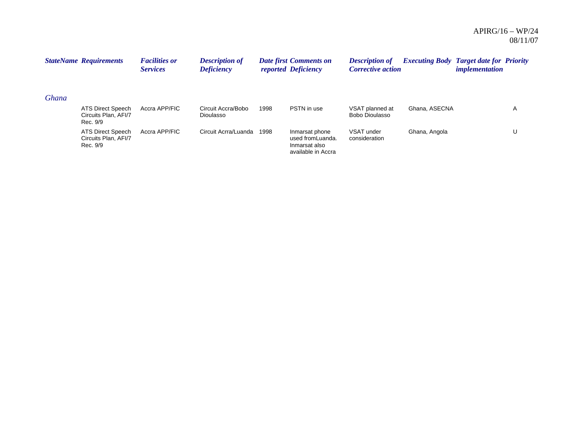|       | <b>StateName Requirements</b>                         | <b>Facilities or</b><br><b>Services</b> | <b>Description of</b><br><b>Deficiency</b> |      | <b>Date first Comments on</b><br>reported Deficiency                       | <b>Description of</b><br><b>Corrective action</b> | <b>Executing Body Target date for Priority</b> | <i>implementation</i> |   |
|-------|-------------------------------------------------------|-----------------------------------------|--------------------------------------------|------|----------------------------------------------------------------------------|---------------------------------------------------|------------------------------------------------|-----------------------|---|
| Ghana | ATS Direct Speech                                     | Accra APP/FIC                           | Circuit Accra/Bobo                         | 1998 | PSTN in use                                                                | VSAT planned at                                   | Ghana, ASECNA                                  |                       | A |
|       | Circuits Plan, AFI/7<br>Rec. 9/9                      |                                         | Dioulasso                                  |      |                                                                            | Bobo Dioulasso                                    |                                                |                       |   |
|       | ATS Direct Speech<br>Circuits Plan, AFI/7<br>Rec. 9/9 | Accra APP/FIC                           | Circuit Acrra/Luanda                       | 1998 | Inmarsat phone<br>used from Luanda.<br>Inmarsat also<br>available in Accra | VSAT under<br>consideration                       | Ghana, Angola                                  |                       | U |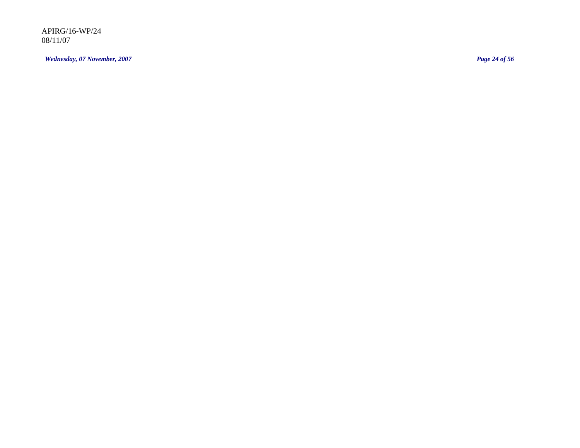*Wednesday, 07 November, 2007 Page 24 of 56*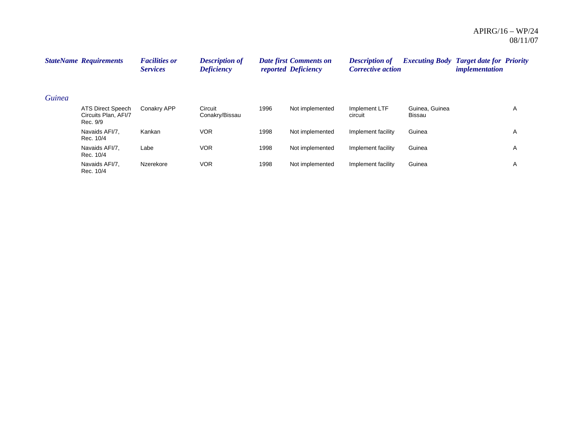|               | <b>StateName Requirements</b>                                | <b>Facilities or</b><br><b>Services</b> | <b>Description of</b><br><b>Deficiency</b> |      | <b>Date first Comments on</b><br><i>reported Deficiency</i> | <b>Description of</b><br><b>Corrective action</b> | <b>Executing Body Target date for Priority</b> | <i>implementation</i> |   |
|---------------|--------------------------------------------------------------|-----------------------------------------|--------------------------------------------|------|-------------------------------------------------------------|---------------------------------------------------|------------------------------------------------|-----------------------|---|
| <b>Guinea</b> |                                                              |                                         |                                            |      |                                                             |                                                   |                                                |                       |   |
|               | <b>ATS Direct Speech</b><br>Circuits Plan, AFI/7<br>Rec. 9/9 | Conakry APP                             | Circuit<br>Conakry/Bissau                  | 1996 | Not implemented                                             | Implement LTF<br>circuit                          | Guinea, Guinea<br>Bissau                       |                       | A |
|               | Navaids AFI/7.<br>Rec. 10/4                                  | Kankan                                  | <b>VOR</b>                                 | 1998 | Not implemented                                             | Implement facility                                | Guinea                                         |                       | A |
|               | Navaids AFI/7,<br>Rec. 10/4                                  | Labe                                    | <b>VOR</b>                                 | 1998 | Not implemented                                             | Implement facility                                | Guinea                                         |                       | Α |
|               | Navaids AFI/7,<br>Rec. 10/4                                  | Nzerekore                               | <b>VOR</b>                                 | 1998 | Not implemented                                             | Implement facility                                | Guinea                                         |                       | Α |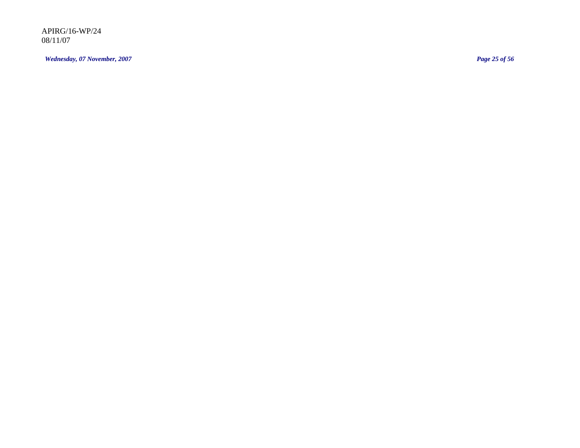*Wednesday, 07 November, 2007 Page 25 of 56*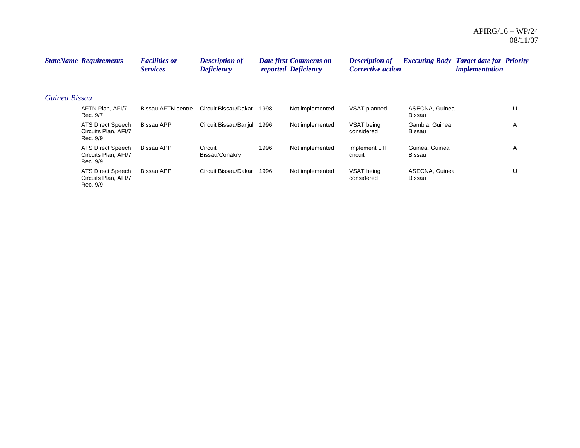|               | <b>StateName Requirements</b>                         | <b>Facilities or</b><br><b>Services</b> | <b>Description of</b><br><b>Deficiency</b> |      | <b>Date first Comments on</b><br>reported Deficiency | <b>Description of</b><br><b>Corrective action</b> | <b>Executing Body</b>    | <b>Target date for Priority</b><br><i>implementation</i> |   |
|---------------|-------------------------------------------------------|-----------------------------------------|--------------------------------------------|------|------------------------------------------------------|---------------------------------------------------|--------------------------|----------------------------------------------------------|---|
| Guinea Bissau |                                                       |                                         |                                            |      |                                                      |                                                   |                          |                                                          |   |
|               | AFTN Plan, AFI/7<br>Rec. 9/7                          | <b>Bissau AFTN centre</b>               | Circuit Bissau/Dakar                       | 1998 | Not implemented                                      | VSAT planned                                      | ASECNA, Guinea<br>Bissau |                                                          | U |
|               | ATS Direct Speech<br>Circuits Plan, AFI/7<br>Rec. 9/9 | Bissau APP                              | Circuit Bissau/Banjul                      | 1996 | Not implemented                                      | VSAT being<br>considered                          | Gambia, Guinea<br>Bissau |                                                          | A |
|               | ATS Direct Speech<br>Circuits Plan, AFI/7<br>Rec. 9/9 | Bissau APP                              | Circuit<br>Bissau/Conakry                  | 1996 | Not implemented                                      | Implement LTF<br>circuit                          | Guinea, Guinea<br>Bissau |                                                          | Α |
|               | ATS Direct Speech<br>Circuits Plan, AFI/7<br>Rec. 9/9 | Bissau APP                              | Circuit Bissau/Dakar                       | 1996 | Not implemented                                      | VSAT being<br>considered                          | ASECNA, Guinea<br>Bissau |                                                          | U |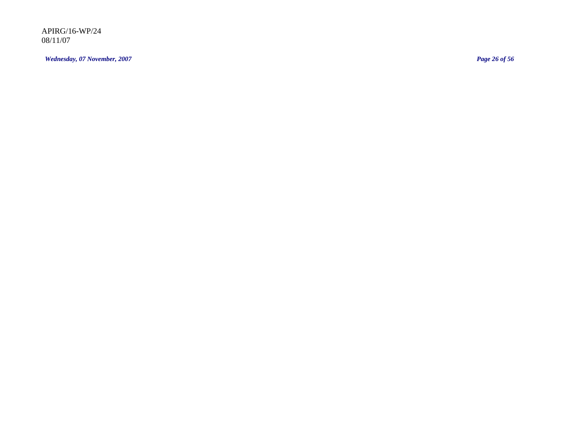*Wednesday, 07 November, 2007 Page 26 of 56*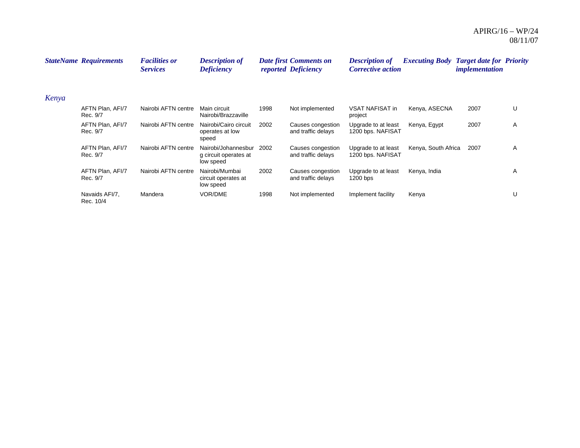|       | <b>StateName Requirements</b> | <b>Facilities or</b><br><b>Services</b> | <b>Description of</b><br><b>Deficiency</b>                |      | <b>Date first Comments on</b><br>reported Deficiency | <b>Description of</b><br><b>Corrective action</b> | <b>Executing Body</b> | <b>Target date for Priority</b><br><i>implementation</i> |    |
|-------|-------------------------------|-----------------------------------------|-----------------------------------------------------------|------|------------------------------------------------------|---------------------------------------------------|-----------------------|----------------------------------------------------------|----|
| Kenya |                               |                                         |                                                           |      |                                                      |                                                   |                       |                                                          |    |
|       | AFTN Plan, AFI/7<br>Rec. 9/7  | Nairobi AFTN centre                     | Main circuit<br>Nairobi/Brazzaville                       | 1998 | Not implemented                                      | <b>VSAT NAFISAT in</b><br>project                 | Kenya, ASECNA         | 2007                                                     | IJ |
|       | AFTN Plan, AFI/7<br>Rec. 9/7  | Nairobi AFTN centre                     | Nairobi/Cairo circuit<br>operates at low<br>speed         | 2002 | Causes congestion<br>and traffic delays              | Upgrade to at least<br>1200 bps. NAFISAT          | Kenya, Egypt          | 2007                                                     | A  |
|       | AFTN Plan, AFI/7<br>Rec. 9/7  | Nairobi AFTN centre                     | Nairobi/Johannesbur<br>g circuit operates at<br>low speed | 2002 | Causes congestion<br>and traffic delays              | Upgrade to at least<br>1200 bps. NAFISAT          | Kenya, South Africa   | 2007                                                     | A  |
|       | AFTN Plan, AFI/7<br>Rec. 9/7  | Nairobi AFTN centre                     | Nairobi/Mumbai<br>circuit operates at<br>low speed        | 2002 | Causes congestion<br>and traffic delays              | Upgrade to at least<br>1200 bps                   | Kenya, India          |                                                          | A  |
|       | Navaids AFI/7,<br>Rec. 10/4   | Mandera                                 | VOR/DME                                                   | 1998 | Not implemented                                      | Implement facility                                | Kenya                 |                                                          | U  |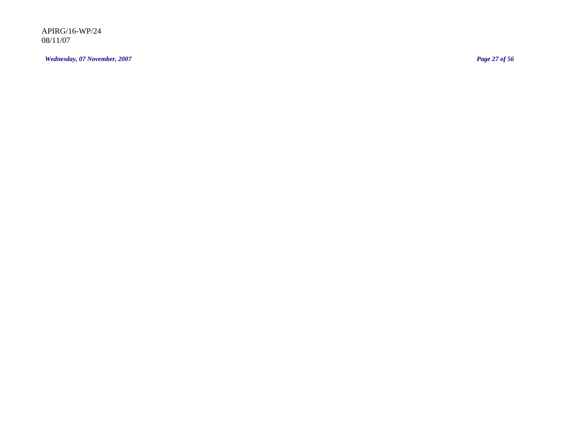*Wednesday, 07 November, 2007 Page 27 of 56*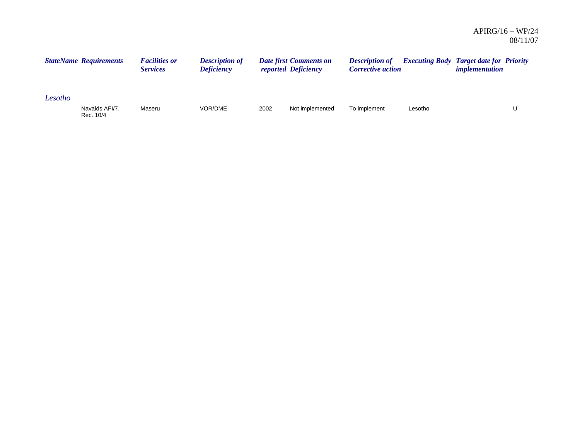|         | <b>StateName Requirements</b> | <b>Facilities or</b><br><b>Services</b> | <b>Description of</b><br><b>Deficiency</b> |      | <b>Date first Comments on</b><br>reported Deficiency | <b>Description of</b><br><b>Corrective action</b> | <b>Executing Body Target date for Priority</b> | <i>implementation</i> |  |
|---------|-------------------------------|-----------------------------------------|--------------------------------------------|------|------------------------------------------------------|---------------------------------------------------|------------------------------------------------|-----------------------|--|
| Lesotho | Navaids AFI/7,<br>Rec. 10/4   | Maseru                                  | VOR/DME                                    | 2002 | Not implemented                                      | To implement                                      | Lesotho                                        |                       |  |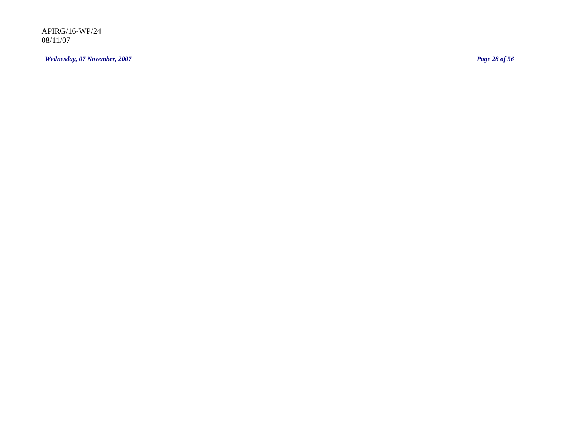*Wednesday, 07 November, 2007 Page 28 of 56*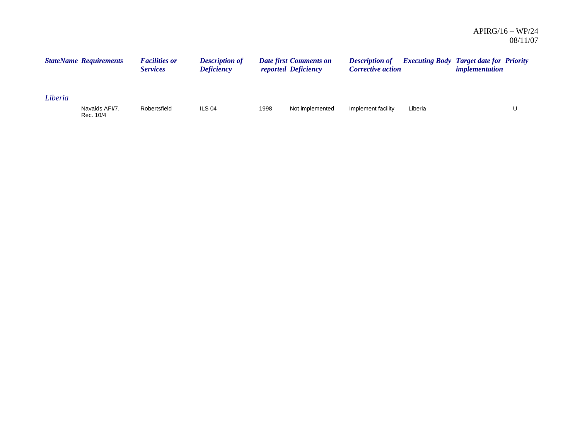|         | <b>StateName Requirements</b> | <b>Facilities or</b><br><b>Services</b> | <b>Description of</b><br><b>Deficiency</b> |      | <b>Date first Comments on</b><br>reported Deficiency | <b>Description of</b><br><b>Corrective action</b> | <b>Executing Body Target date for Priority</b> | implementation |  |
|---------|-------------------------------|-----------------------------------------|--------------------------------------------|------|------------------------------------------------------|---------------------------------------------------|------------------------------------------------|----------------|--|
| Liberia | Navaids AFI/7,<br>Rec. 10/4   | Robertsfield                            | ILS 04                                     | 1998 | Not implemented                                      | Implement facility                                | Liberia                                        |                |  |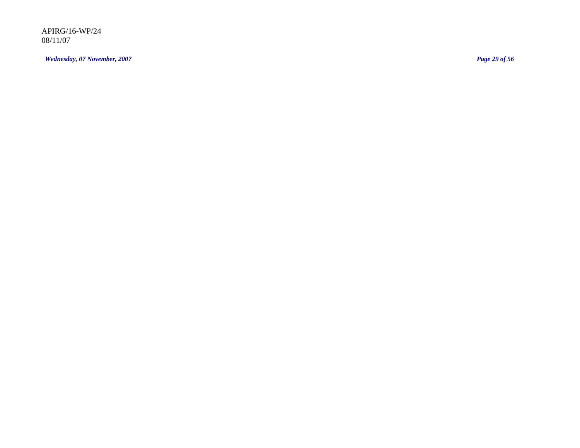*Wednesday, 07 November, 2007 Page 29 of 56*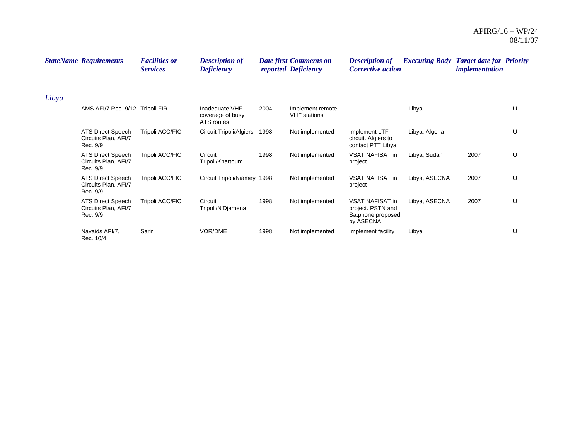|       | <b>StateName Requirements</b>                         | <b>Facilities or</b><br><b>Services</b> | <b>Description of</b><br><b>Deficiency</b>       |      | <b>Date first Comments on</b><br><i>reported Deficiency</i> | <b>Description of</b><br><b>Corrective action</b>                             | <b>Executing Body Target date for Priority</b> | <i>implementation</i> |    |
|-------|-------------------------------------------------------|-----------------------------------------|--------------------------------------------------|------|-------------------------------------------------------------|-------------------------------------------------------------------------------|------------------------------------------------|-----------------------|----|
| Libya |                                                       |                                         |                                                  |      |                                                             |                                                                               |                                                |                       |    |
|       | AMS AFI/7 Rec. 9/12 Tripoli FIR                       |                                         | Inadequate VHF<br>coverage of busy<br>ATS routes | 2004 | Implement remote<br><b>VHF</b> stations                     |                                                                               | Libya                                          |                       | U  |
|       | ATS Direct Speech<br>Circuits Plan, AFI/7<br>Rec. 9/9 | Tripoli ACC/FIC                         | <b>Circuit Tripoli/Algiers</b>                   | 1998 | Not implemented                                             | Implement LTF<br>circuit. Algiers to<br>contact PTT Libya.                    | Libya, Algeria                                 |                       | IJ |
|       | ATS Direct Speech<br>Circuits Plan, AFI/7<br>Rec. 9/9 | Tripoli ACC/FIC                         | Circuit<br>Tripoli/Khartoum                      | 1998 | Not implemented                                             | <b>VSAT NAFISAT in</b><br>project.                                            | Libya, Sudan                                   | 2007                  | U  |
|       | ATS Direct Speech<br>Circuits Plan, AFI/7<br>Rec. 9/9 | Tripoli ACC/FIC                         | Circuit Tripoli/Niamey 1998                      |      | Not implemented                                             | VSAT NAFISAT in<br>project                                                    | Libya, ASECNA                                  | 2007                  | U  |
|       | ATS Direct Speech<br>Circuits Plan, AFI/7<br>Rec. 9/9 | Tripoli ACC/FIC                         | Circuit<br>Tripoli/N'Djamena                     | 1998 | Not implemented                                             | <b>VSAT NAFISAT in</b><br>project. PSTN and<br>Satphone proposed<br>by ASECNA | Libya, ASECNA                                  | 2007                  | U  |
|       | Navaids AFI/7.<br>Rec. 10/4                           | Sarir                                   | VOR/DME                                          | 1998 | Not implemented                                             | Implement facility                                                            | Libya                                          |                       | U  |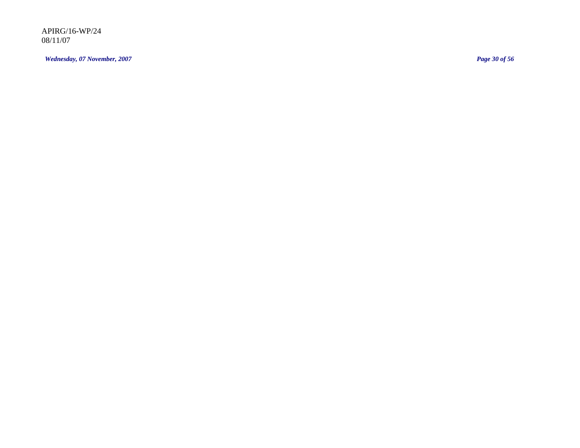*Wednesday, 07 November, 2007 Page 30 of 56*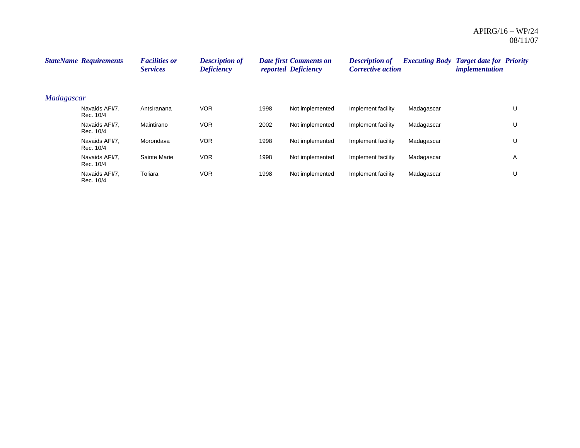|            | <b>StateName Requirements</b> | <b>Facilities or</b><br><b>Services</b> | <b>Description of</b><br><b>Deficiency</b> |      | <b>Date first Comments on</b><br>reported Deficiency | <b>Description of</b><br><b>Corrective action</b> | <b>Executing Body Target date for Priority</b> | <i>implementation</i> |   |
|------------|-------------------------------|-----------------------------------------|--------------------------------------------|------|------------------------------------------------------|---------------------------------------------------|------------------------------------------------|-----------------------|---|
| Madagascar |                               |                                         |                                            |      |                                                      |                                                   |                                                |                       |   |
|            | Navaids AFI/7,<br>Rec. 10/4   | Antsiranana                             | <b>VOR</b>                                 | 1998 | Not implemented                                      | Implement facility                                | Madagascar                                     |                       | U |
|            | Navaids AFI/7,<br>Rec. 10/4   | Maintirano                              | <b>VOR</b>                                 | 2002 | Not implemented                                      | Implement facility                                | Madagascar                                     |                       | U |
|            | Navaids AFI/7.<br>Rec. 10/4   | Morondava                               | <b>VOR</b>                                 | 1998 | Not implemented                                      | Implement facility                                | Madagascar                                     |                       | U |
|            | Navaids AFI/7.<br>Rec. 10/4   | Sainte Marie                            | <b>VOR</b>                                 | 1998 | Not implemented                                      | Implement facility                                | Madagascar                                     |                       | A |
|            | Navaids AFI/7,<br>Rec. 10/4   | Toliara                                 | <b>VOR</b>                                 | 1998 | Not implemented                                      | Implement facility                                | Madagascar                                     |                       | U |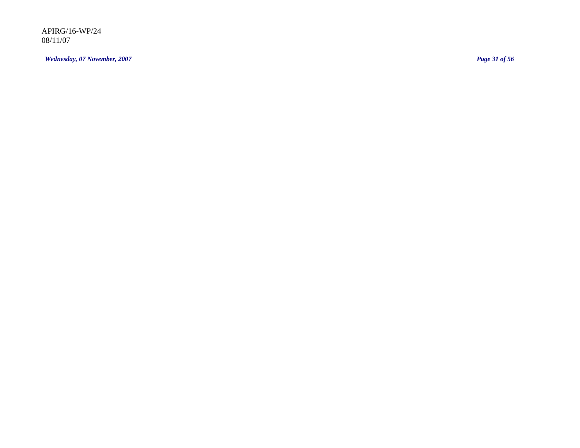*Wednesday, 07 November, 2007 Page 31 of 56*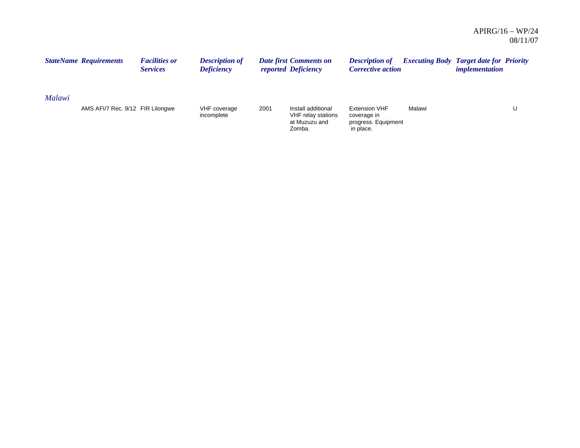|               | <b>StateName Requirements</b>    | <b>Facilities or</b><br><b>Services</b> | <b>Description of</b><br><b>Deficiency</b> |      | <b>Date first Comments on</b><br>reported Deficiency                | <b>Description of</b><br><b>Corrective action</b>                       |        | <b>Executing Body Target date for Priority</b><br>implementation |  |
|---------------|----------------------------------|-----------------------------------------|--------------------------------------------|------|---------------------------------------------------------------------|-------------------------------------------------------------------------|--------|------------------------------------------------------------------|--|
| <i>Malawi</i> | AMS AFI/7 Rec. 9/12 FIR Lilongwe |                                         | VHF coverage<br>incomplete                 | 2001 | Install additional<br>VHF relay stations<br>at Muzuzu and<br>Zomba. | <b>Extension VHF</b><br>coverage in<br>progress. Equipment<br>in place. | Malawi |                                                                  |  |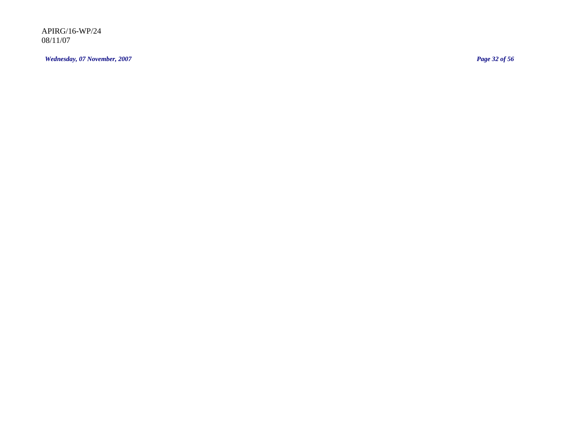*Wednesday, 07 November, 2007 Page 32 of 56*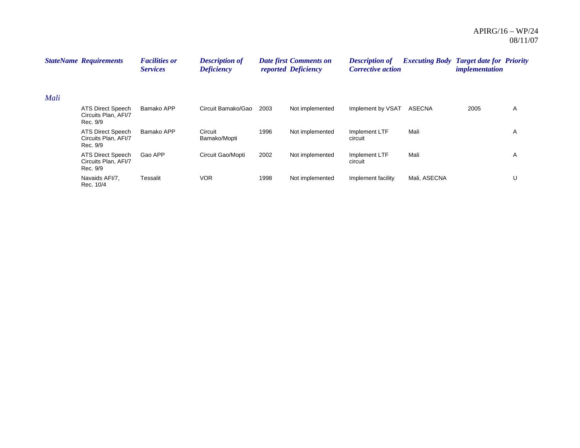|      | <b>StateName Requirements</b>                         | <b>Facilities or</b><br><b>Services</b> | <b>Description of</b><br><b>Deficiency</b> |      | <b>Date first Comments on</b><br>reported Deficiency | <b>Description of</b><br><b>Corrective action</b> | <b>Executing Body</b> | <b>Target date for Priority</b><br><i>implementation</i> |   |
|------|-------------------------------------------------------|-----------------------------------------|--------------------------------------------|------|------------------------------------------------------|---------------------------------------------------|-----------------------|----------------------------------------------------------|---|
| Mali |                                                       |                                         |                                            |      |                                                      |                                                   |                       |                                                          |   |
|      | ATS Direct Speech<br>Circuits Plan, AFI/7<br>Rec. 9/9 | Bamako APP                              | Circuit Bamako/Gao                         | 2003 | Not implemented                                      | Implement by VSAT                                 | <b>ASECNA</b>         | 2005                                                     | Α |
|      | ATS Direct Speech<br>Circuits Plan, AFI/7<br>Rec. 9/9 | Bamako APP                              | Circuit<br>Bamako/Mopti                    | 1996 | Not implemented                                      | Implement LTF<br>circuit                          | Mali                  |                                                          | Α |
|      | ATS Direct Speech<br>Circuits Plan, AFI/7<br>Rec. 9/9 | Gao APP                                 | Circuit Gao/Mopti                          | 2002 | Not implemented                                      | Implement LTF<br>circuit                          | Mali                  |                                                          | Α |
|      | Navaids AFI/7.<br>Rec. 10/4                           | Tessalit                                | <b>VOR</b>                                 | 1998 | Not implemented                                      | Implement facility                                | Mali, ASECNA          |                                                          | U |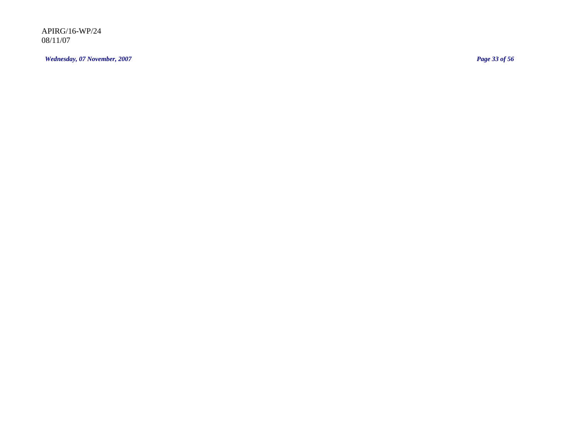*Wednesday, 07 November, 2007 Page 33 of 56*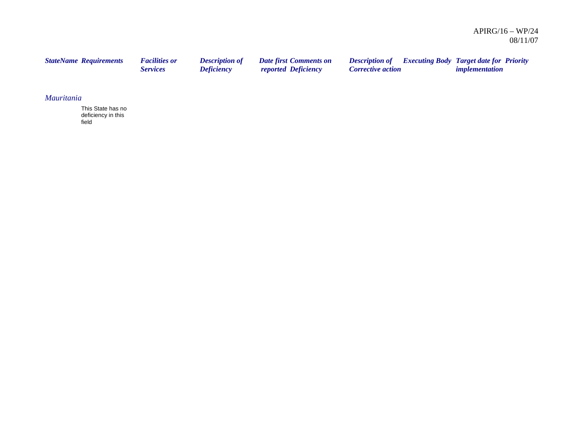*StateName*

*Services*

*reported Deficiency* 

*Facilities or Description of Date first Comments on Description of Executing Body Target date for Priority*<br>*Services Deficiency reported Deficiency Corrective action implementation* 

## *Mauritania*

This State has no deficiency in this field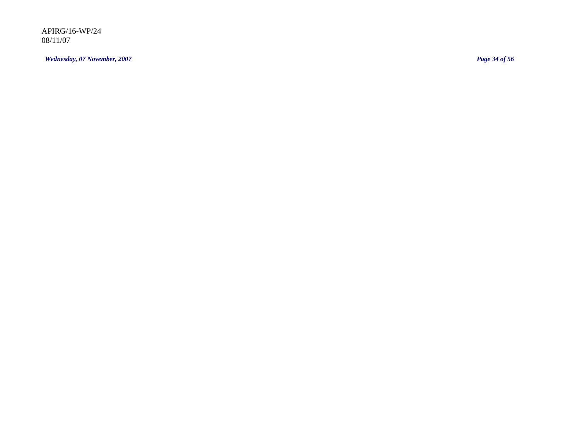*Wednesday, 07 November, 2007 Page 34 of 56*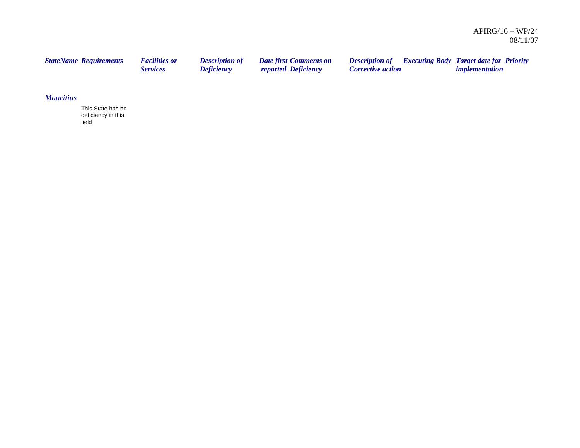*Services*

*reported Deficiency* 

*Facilities or Description of Date first Comments on Description of Executing Body Target date for Priority*<br>*Services Deficiency reported Deficiency Corrective action implementation* 

#### *Mauritius*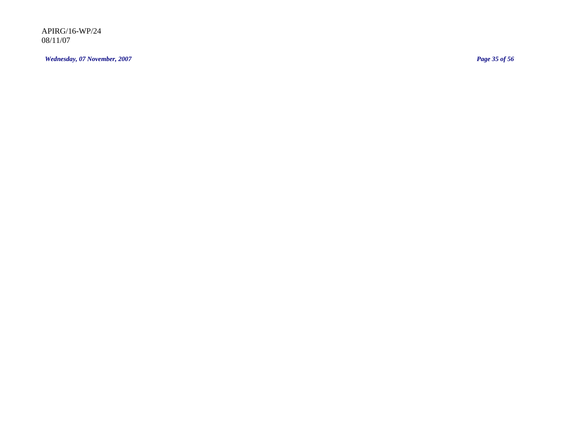*Wednesday, 07 November, 2007 Page 35 of 56*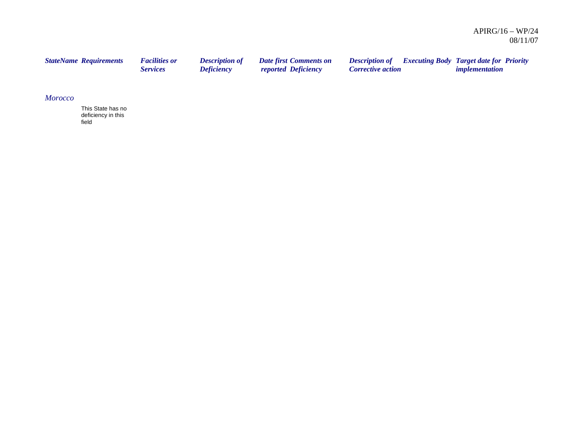*Services*

 *Requirements Facilities or Description of Date first Comments on Description of Executing Body Target date for Priority Deficiency reported Deficiency Corrective action implementation*

### *Morocco*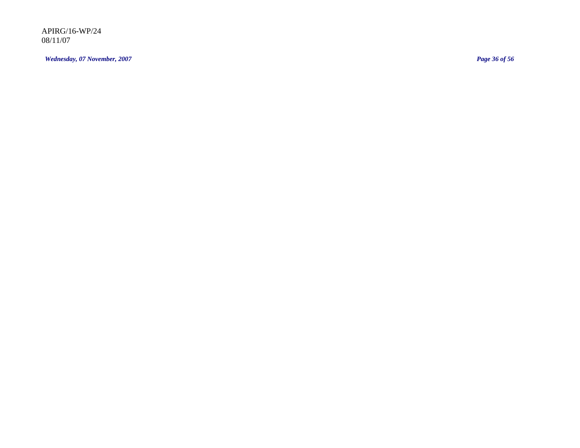*Wednesday, 07 November, 2007 Page 36 of 56*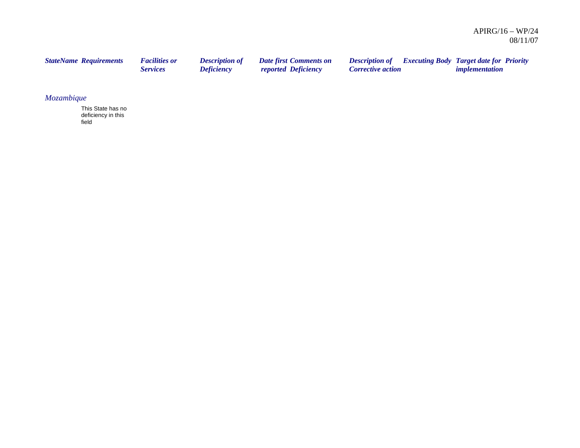*Services*

 *Requirements Facilities or Description of Date first Comments on Description of Executing Body Target date for Priority Deficiency reported Deficiency Corrective action implementation*

## *Mozambique*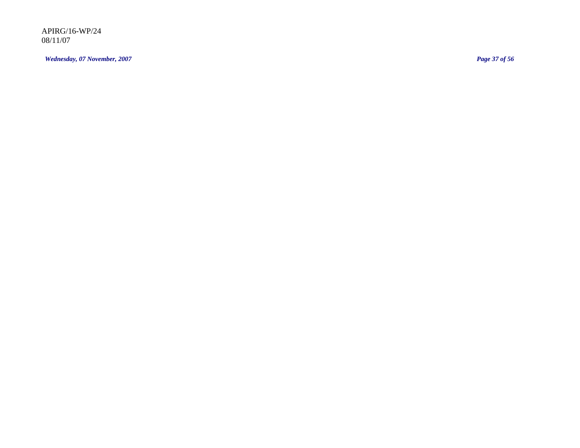*Wednesday, 07 November, 2007 Page 37 of 56*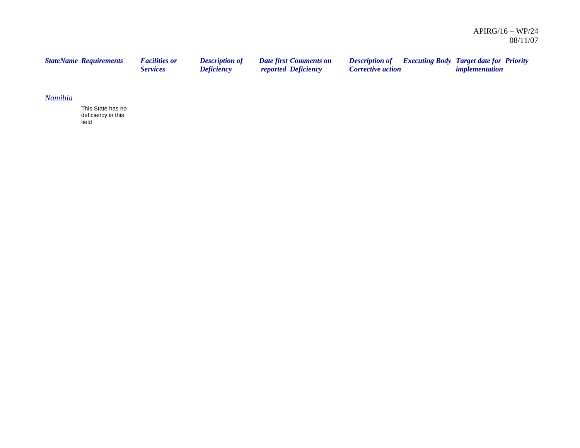*Services*

 *Requirements Facilities or Description of Date first Comments on Description of Executing Body Target date for Priority Deficiency reported Deficiency Corrective action implementation*

### *Namibia*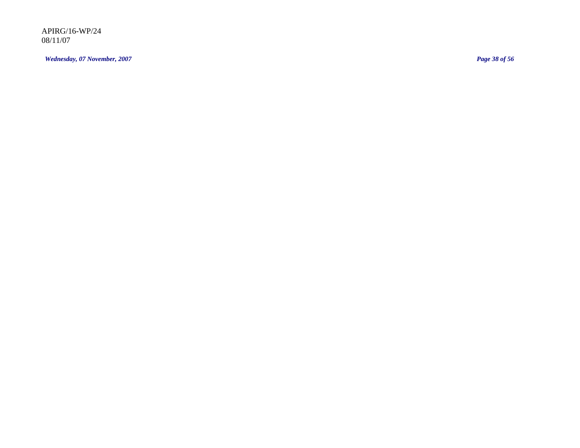*Wednesday, 07 November, 2007 Page 38 of 56*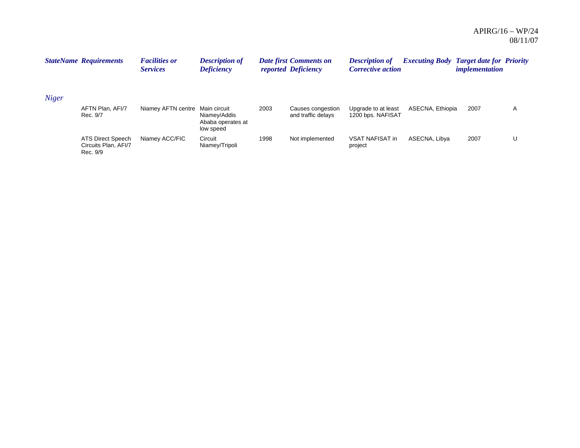|              | <b>StateName Requirements</b>                         | <b>Facilities or</b><br><b>Services</b> | <b>Description of</b><br><b>Deficiency</b>                     |      | <b>Date first Comments on</b><br>reported Deficiency | <b>Description of</b><br><b>Corrective action</b> | <b>Executing Body</b> | <b>Target date for Priority</b><br><i>implementation</i> |   |
|--------------|-------------------------------------------------------|-----------------------------------------|----------------------------------------------------------------|------|------------------------------------------------------|---------------------------------------------------|-----------------------|----------------------------------------------------------|---|
| <b>Niger</b> |                                                       |                                         |                                                                |      |                                                      |                                                   |                       |                                                          |   |
|              | AFTN Plan, AFI/7<br>Rec. 9/7                          | Niamey AFTN centre                      | Main circuit<br>Niamey/Addis<br>Ababa operates at<br>low speed | 2003 | Causes congestion<br>and traffic delays              | Upgrade to at least<br>1200 bps. NAFISAT          | ASECNA, Ethiopia      | 2007                                                     | A |
|              | ATS Direct Speech<br>Circuits Plan, AFI/7<br>Rec. 9/9 | Niamey ACC/FIC                          | Circuit<br>Niamey/Tripoli                                      | 1998 | Not implemented                                      | <b>VSAT NAFISAT in</b><br>project                 | ASECNA, Libya         | 2007                                                     | U |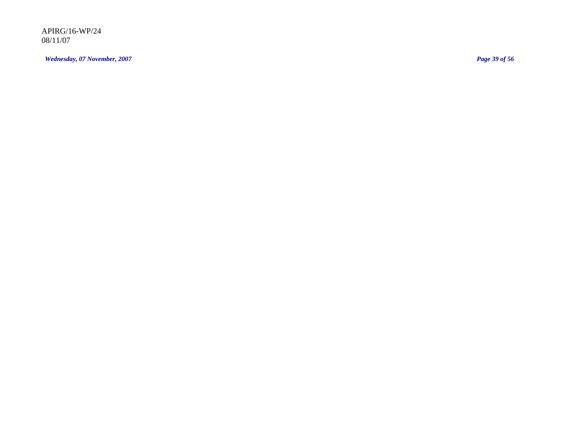*Wednesday, 07 November, 2007 Page 39 of 56*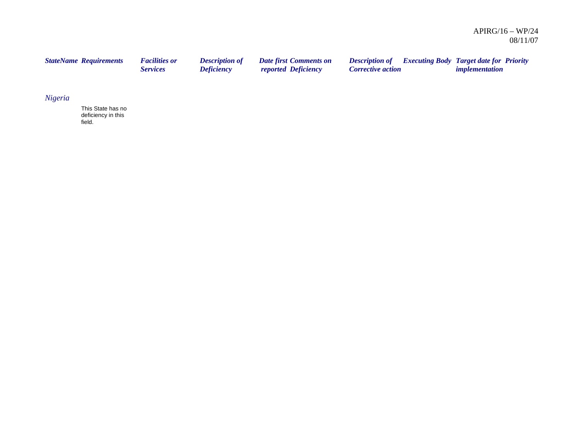*Services*

 *Requirements Facilities or Description of Date first Comments on Description of Executing Body Target date for Priority Deficiency reported Deficiency Corrective action implementation*

# *Nigeria*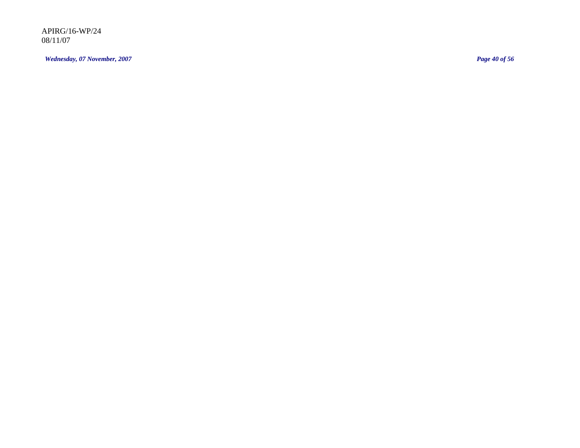*Wednesday, 07 November, 2007 Page 40 of 56*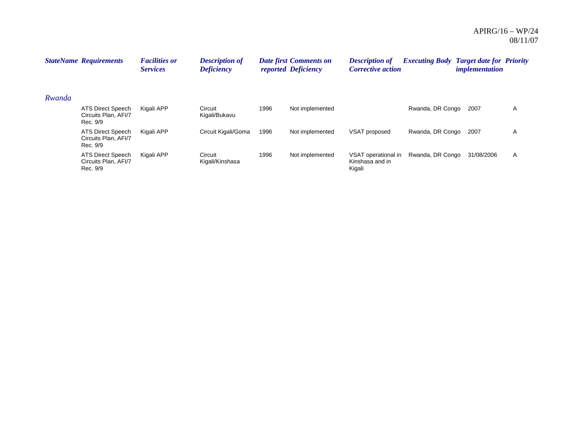|        | <b>StateName Requirements</b>                         | <b>Facilities or</b><br><b>Services</b> | <b>Description of</b><br><b>Deficiency</b> |      | <b>Date first Comments on</b><br>reported Deficiency | <b>Description of</b><br><b>Corrective action</b> | <b>Executing Body Target date for Priority</b> | <i>implementation</i> |   |
|--------|-------------------------------------------------------|-----------------------------------------|--------------------------------------------|------|------------------------------------------------------|---------------------------------------------------|------------------------------------------------|-----------------------|---|
| Rwanda |                                                       |                                         |                                            |      |                                                      |                                                   |                                                |                       |   |
|        | ATS Direct Speech<br>Circuits Plan, AFI/7<br>Rec. 9/9 | Kigali APP                              | Circuit<br>Kigali/Bukavu                   | 1996 | Not implemented                                      |                                                   | Rwanda, DR Congo                               | 2007                  | A |
|        | ATS Direct Speech<br>Circuits Plan, AFI/7<br>Rec. 9/9 | Kigali APP                              | Circuit Kigali/Goma                        | 1996 | Not implemented                                      | VSAT proposed                                     | Rwanda, DR Congo                               | 2007                  | A |
|        | ATS Direct Speech<br>Circuits Plan, AFI/7<br>Rec. 9/9 | Kigali APP                              | Circuit<br>Kigali/Kinshasa                 | 1996 | Not implemented                                      | VSAT operational in<br>Kinshasa and in<br>Kigali  | Rwanda, DR Congo                               | 31/08/2006            | A |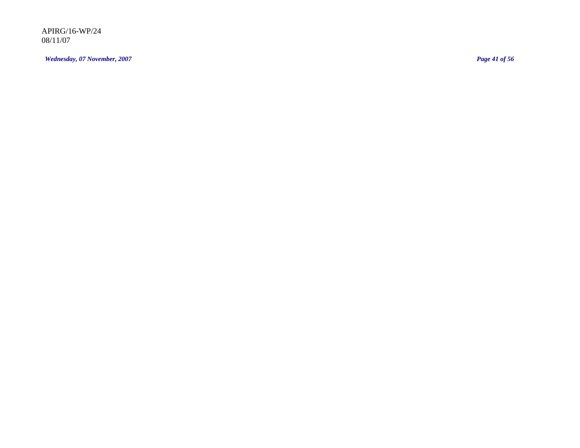*Wednesday, 07 November, 2007 Page 41 of 56*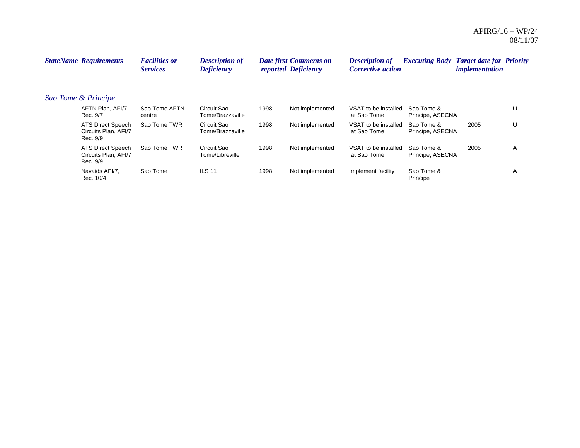| <b>StateName Requirements</b>                         | <b>Facilities or</b><br><b>Services</b> | <b>Description of</b><br><b>Deficiency</b> |      | <b>Date first Comments on</b><br>reported Deficiency | <b>Description of</b><br><b>Corrective action</b> | <i>Executing Body</i>          | <b>Target date for Priority</b><br><i>implementation</i> |   |
|-------------------------------------------------------|-----------------------------------------|--------------------------------------------|------|------------------------------------------------------|---------------------------------------------------|--------------------------------|----------------------------------------------------------|---|
| Sao Tome & Principe                                   |                                         |                                            |      |                                                      |                                                   |                                |                                                          |   |
| AFTN Plan, AFI/7<br>Rec. 9/7                          | Sao Tome AFTN<br>centre                 | Circuit Sao<br>Tome/Brazzaville            | 1998 | Not implemented                                      | VSAT to be installed<br>at Sao Tome               | Sao Tome &<br>Principe, ASECNA |                                                          | U |
| ATS Direct Speech<br>Circuits Plan, AFI/7<br>Rec. 9/9 | Sao Tome TWR                            | Circuit Sao<br>Tome/Brazzaville            | 1998 | Not implemented                                      | VSAT to be installed<br>at Sao Tome               | Sao Tome &<br>Principe, ASECNA | 2005                                                     | U |
| ATS Direct Speech<br>Circuits Plan, AFI/7<br>Rec. 9/9 | Sao Tome TWR                            | Circuit Sao<br>Tome/Libreville             | 1998 | Not implemented                                      | VSAT to be installed<br>at Sao Tome               | Sao Tome &<br>Principe, ASECNA | 2005                                                     | A |
| Navaids AFI/7.<br>Rec. 10/4                           | Sao Tome                                | <b>ILS 11</b>                              | 1998 | Not implemented                                      | Implement facility                                | Sao Tome &<br>Principe         |                                                          | A |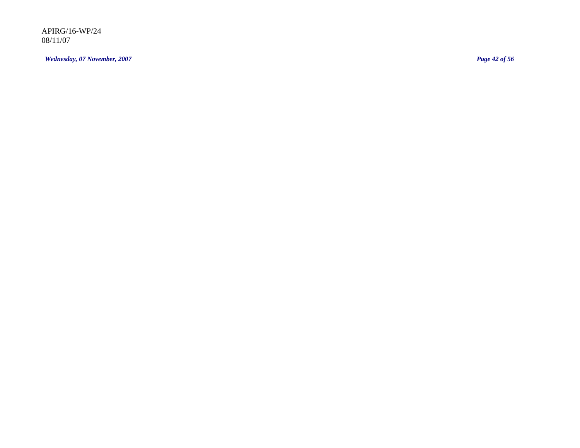*Wednesday, 07 November, 2007 Page 42 of 56*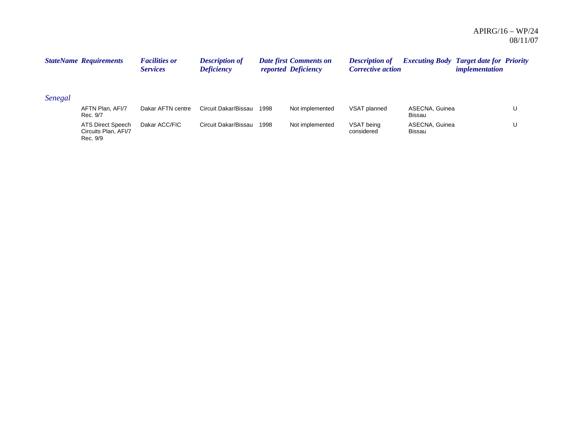|         | <b>StateName Requirements</b>                         | <b>Facilities or</b><br><b>Services</b> | <b>Description of</b><br><b>Deficiency</b> |      | <b>Date first Comments on</b><br>reported Deficiency | <b>Description of</b><br><b>Corrective action</b> | <b>Executing Body Target date for Priority</b> | <i>implementation</i> |   |
|---------|-------------------------------------------------------|-----------------------------------------|--------------------------------------------|------|------------------------------------------------------|---------------------------------------------------|------------------------------------------------|-----------------------|---|
| Senegal |                                                       |                                         |                                            |      |                                                      |                                                   |                                                |                       |   |
|         | AFTN Plan, AFI/7<br>Rec. 9/7                          | Dakar AFTN centre                       | Circuit Dakar/Bissau                       | 1998 | Not implemented                                      | VSAT planned                                      | ASECNA, Guinea<br>Bissau                       |                       | U |
|         | ATS Direct Speech<br>Circuits Plan, AFI/7<br>Rec. 9/9 | Dakar ACC/FIC                           | Circuit Dakar/Bissau                       | 1998 | Not implemented                                      | VSAT being<br>considered                          | ASECNA, Guinea<br>Bissau                       |                       | U |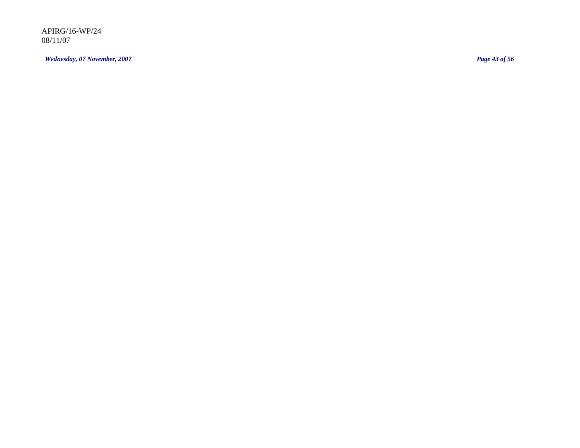*Wednesday, 07 November, 2007 Page 43 of 56*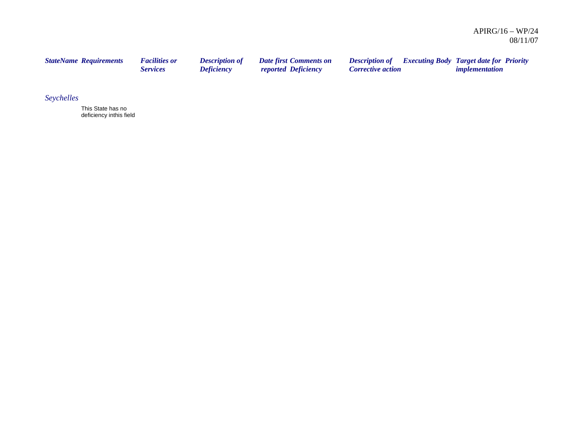*Services*

*reported Deficiency* 

*Facilities or Description of Date first Comments on Description of Executing Body Target date for Priority*<br>*Services Deficiency reported Deficiency Corrective action implementation* 

## *Seychelles*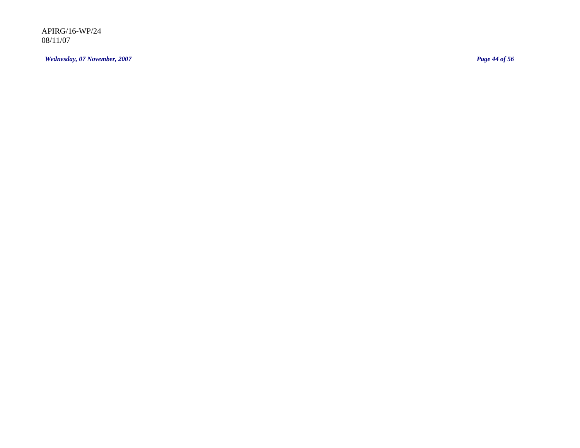*Wednesday, 07 November, 2007 Page 44 of 56*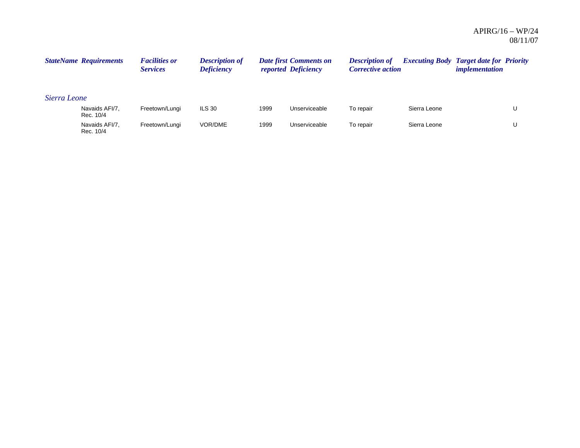|              | <b>StateName Requirements</b> | <b>Facilities or</b><br><b>Services</b> | <b>Description of</b><br><b>Deficiency</b> |      | <b>Date first Comments on</b><br>reported Deficiency | <b>Description of</b><br><b>Corrective action</b> | <b>Executing Body Target date for Priority</b> | <i>implementation</i> |   |
|--------------|-------------------------------|-----------------------------------------|--------------------------------------------|------|------------------------------------------------------|---------------------------------------------------|------------------------------------------------|-----------------------|---|
| Sierra Leone |                               |                                         |                                            |      |                                                      |                                                   |                                                |                       |   |
|              | Navaids AFI/7,<br>Rec. 10/4   | Freetown/Lungi                          | ILS 30                                     | 1999 | Unserviceable                                        | To repair                                         | Sierra Leone                                   |                       |   |
|              | Navaids AFI/7,<br>Rec. 10/4   | Freetown/Lungi                          | VOR/DME                                    | 1999 | Unserviceable                                        | To repair                                         | Sierra Leone                                   |                       | U |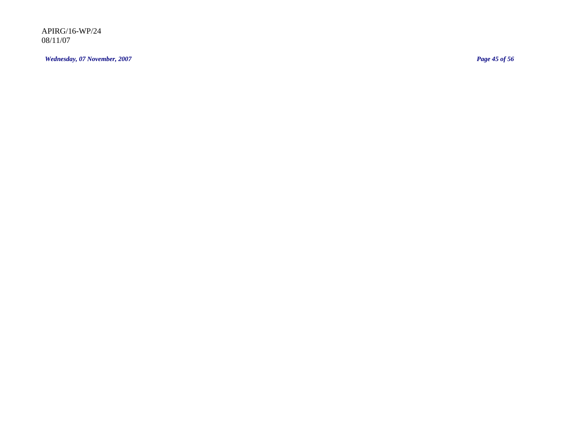*Wednesday, 07 November, 2007 Page 45 of 56*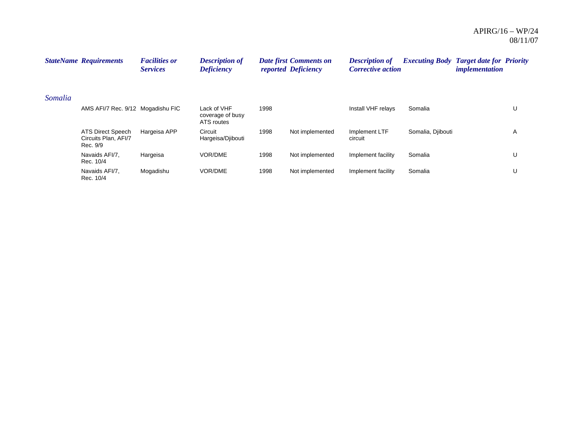|         | <b>StateName Requirements</b>                                | <b>Facilities or</b><br><b>Services</b> | <b>Description of</b><br><b>Deficiency</b>    |      | <b>Date first Comments on</b><br>reported Deficiency | <b>Description of</b><br><b>Corrective action</b> | <b>Executing Body</b> | <b>Target date for Priority</b><br><i>implementation</i> |   |
|---------|--------------------------------------------------------------|-----------------------------------------|-----------------------------------------------|------|------------------------------------------------------|---------------------------------------------------|-----------------------|----------------------------------------------------------|---|
| Somalia |                                                              |                                         |                                               |      |                                                      |                                                   |                       |                                                          |   |
|         | AMS AFI/7 Rec. 9/12 Mogadishu FIC                            |                                         | Lack of VHF<br>coverage of busy<br>ATS routes | 1998 |                                                      | Install VHF relays                                | Somalia               |                                                          | U |
|         | <b>ATS Direct Speech</b><br>Circuits Plan, AFI/7<br>Rec. 9/9 | Hargeisa APP                            | Circuit<br>Hargeisa/Djibouti                  | 1998 | Not implemented                                      | Implement LTF<br>circuit                          | Somalia, Diibouti     |                                                          | A |
|         | Navaids AFI/7,<br>Rec. 10/4                                  | Hargeisa                                | VOR/DME                                       | 1998 | Not implemented                                      | Implement facility                                | Somalia               |                                                          | U |
|         | Navaids AFI/7,<br>Rec. 10/4                                  | Mogadishu                               | VOR/DME                                       | 1998 | Not implemented                                      | Implement facility                                | Somalia               |                                                          | U |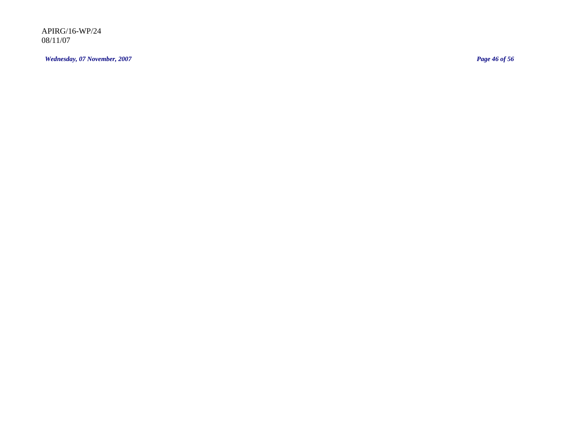*Wednesday, 07 November, 2007 Page 46 of 56*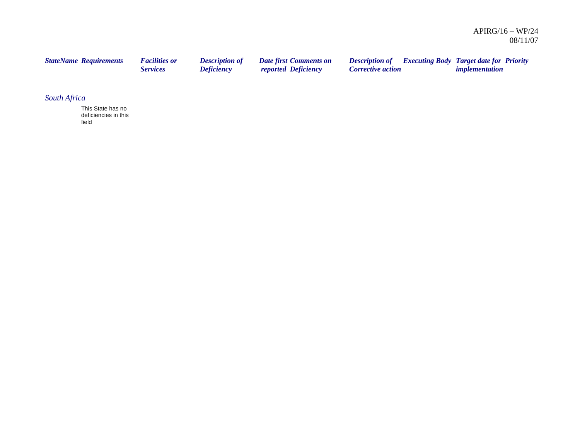*Services*

*reported Deficiency* 

*Facilities or Description of Date first Comments on Description of Executing Body Target date for Priority*<br>*Services Deficiency reported Deficiency Corrective action implementation* 

## *South Africa*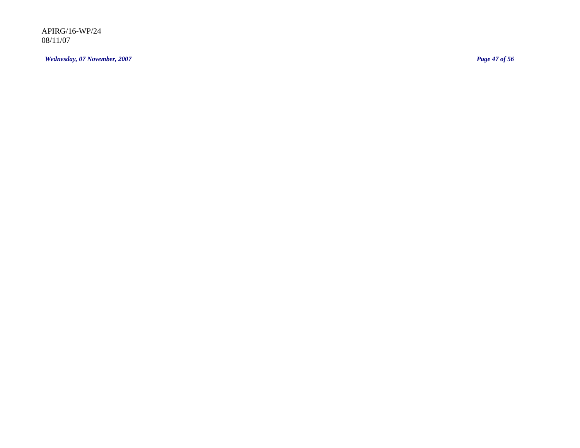*Wednesday, 07 November, 2007 Page 47 of 56*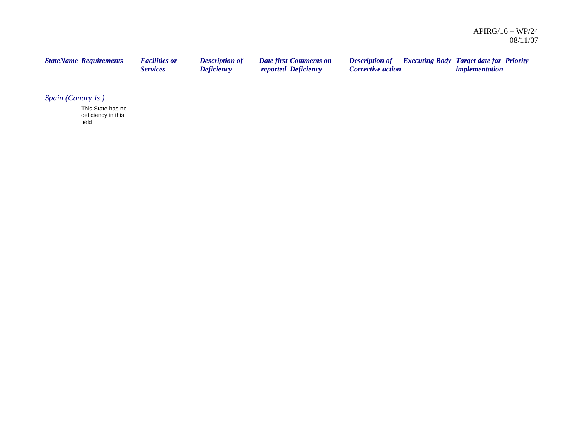*Services*

*reported Deficiency* 

*Facilities or Description of Date first Comments on Description of Executing Body Target date for Priority*<br>*Services Deficiency reported Deficiency Corrective action implementation* 

## *Spain (Canary Is.)*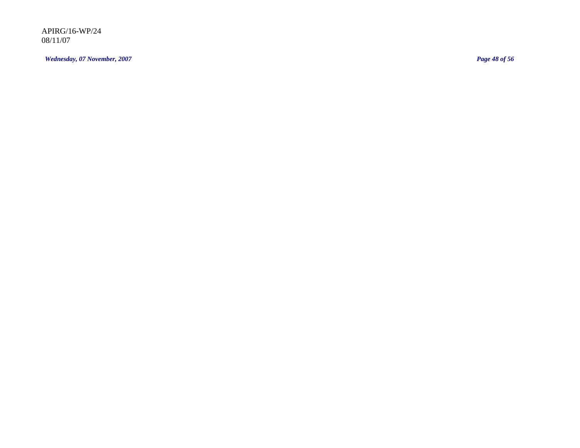*Wednesday, 07 November, 2007 Page 48 of 56*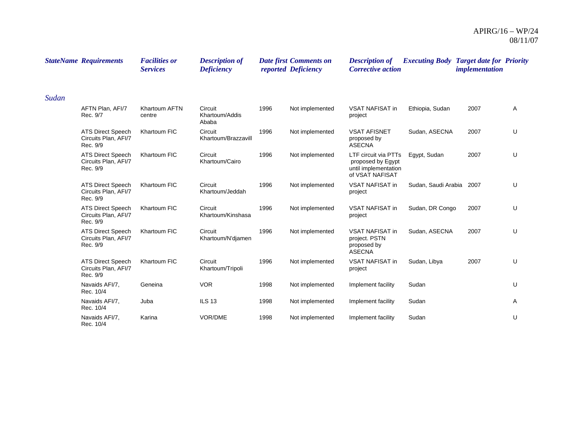|       | <b>StateName Requirements</b>                                | <b>Facilities or</b><br><b>Services</b> | <b>Description of</b><br><b>Deficiency</b> |      | <b>Date first Comments on</b><br>reported Deficiency | <b>Description of</b><br><b>Corrective action</b>                                    | <b>Executing Body Target date for Priority</b> | <i>implementation</i> |   |
|-------|--------------------------------------------------------------|-----------------------------------------|--------------------------------------------|------|------------------------------------------------------|--------------------------------------------------------------------------------------|------------------------------------------------|-----------------------|---|
| Sudan |                                                              |                                         |                                            |      |                                                      |                                                                                      |                                                |                       |   |
|       | AFTN Plan, AFI/7<br>Rec. 9/7                                 | <b>Khartoum AFTN</b><br>centre          | Circuit<br>Khartoum/Addis<br>Ababa         | 1996 | Not implemented                                      | <b>VSAT NAFISAT in</b><br>project                                                    | Ethiopia, Sudan                                | 2007                  | Α |
|       | <b>ATS Direct Speech</b><br>Circuits Plan, AFI/7<br>Rec. 9/9 | Khartoum FIC                            | Circuit<br>Khartoum/Brazzavill             | 1996 | Not implemented                                      | <b>VSAT AFISNET</b><br>proposed by<br><b>ASECNA</b>                                  | Sudan, ASECNA                                  | 2007                  | U |
|       | <b>ATS Direct Speech</b><br>Circuits Plan, AFI/7<br>Rec. 9/9 | Khartoum FIC                            | Circuit<br>Khartoum/Cairo                  | 1996 | Not implemented                                      | LTF circuit via PTTs<br>proposed by Egypt<br>until implementation<br>of VSAT NAFISAT | Egypt, Sudan                                   | 2007                  | U |
|       | <b>ATS Direct Speech</b><br>Circuits Plan, AFI/7<br>Rec. 9/9 | Khartoum FIC                            | Circuit<br>Khartoum/Jeddah                 | 1996 | Not implemented                                      | <b>VSAT NAFISAT in</b><br>project                                                    | Sudan, Saudi Arabia                            | 2007                  | U |
|       | <b>ATS Direct Speech</b><br>Circuits Plan, AFI/7<br>Rec. 9/9 | Khartoum FIC                            | Circuit<br>Khartoum/Kinshasa               | 1996 | Not implemented                                      | <b>VSAT NAFISAT in</b><br>project                                                    | Sudan, DR Congo                                | 2007                  | U |
|       | <b>ATS Direct Speech</b><br>Circuits Plan, AFI/7<br>Rec. 9/9 | Khartoum FIC                            | Circuit<br>Khartoum/N'djamen               | 1996 | Not implemented                                      | <b>VSAT NAFISAT in</b><br>project. PSTN<br>proposed by<br><b>ASECNA</b>              | Sudan, ASECNA                                  | 2007                  | U |
|       | <b>ATS Direct Speech</b><br>Circuits Plan, AFI/7<br>Rec. 9/9 | Khartoum FIC                            | Circuit<br>Khartoum/Tripoli                | 1996 | Not implemented                                      | <b>VSAT NAFISAT in</b><br>project                                                    | Sudan, Libya                                   | 2007                  | U |
|       | Navaids AFI/7,<br>Rec. 10/4                                  | Geneina                                 | <b>VOR</b>                                 | 1998 | Not implemented                                      | Implement facility                                                                   | Sudan                                          |                       | U |
|       | Navaids AFI/7,<br>Rec. 10/4                                  | Juba                                    | <b>ILS 13</b>                              | 1998 | Not implemented                                      | Implement facility                                                                   | Sudan                                          |                       | Α |
|       | Navaids AFI/7,<br>Rec. 10/4                                  | Karina                                  | VOR/DME                                    | 1998 | Not implemented                                      | Implement facility                                                                   | Sudan                                          |                       | U |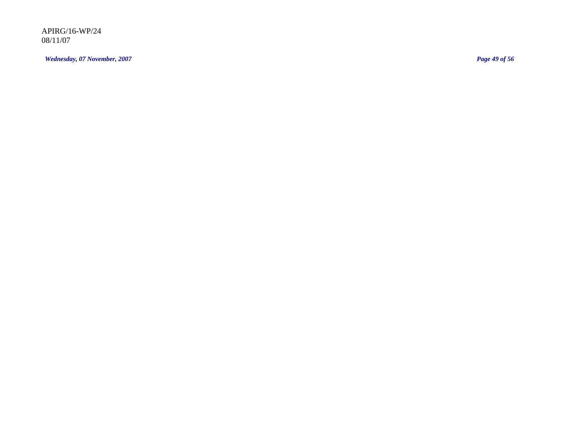*Wednesday, 07 November, 2007 Page 49 of 56*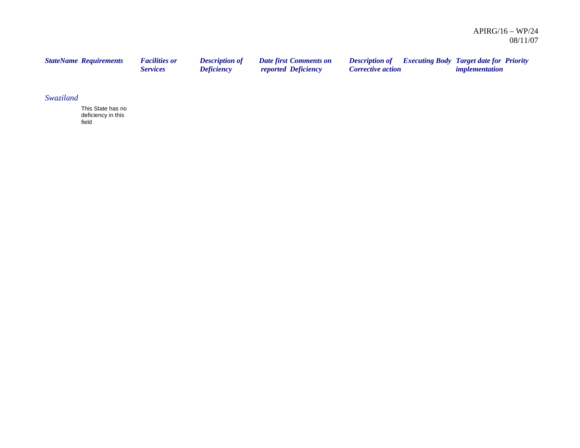*Services*

 *Requirements Facilities or Description of Date first Comments on Description of Executing Body Target date for Priority Deficiency reported Deficiency Corrective action implementation*

## *Swaziland*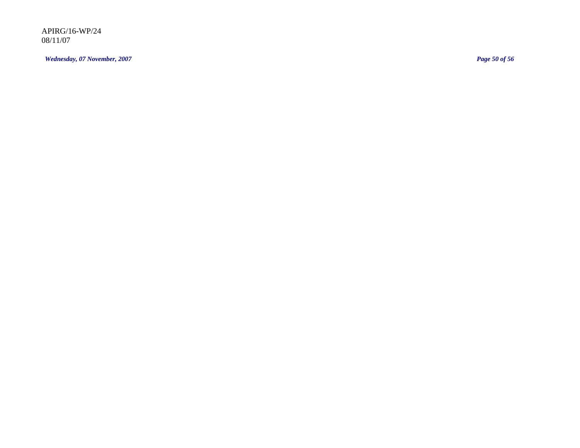*Wednesday, 07 November, 2007 Page 50 of 56*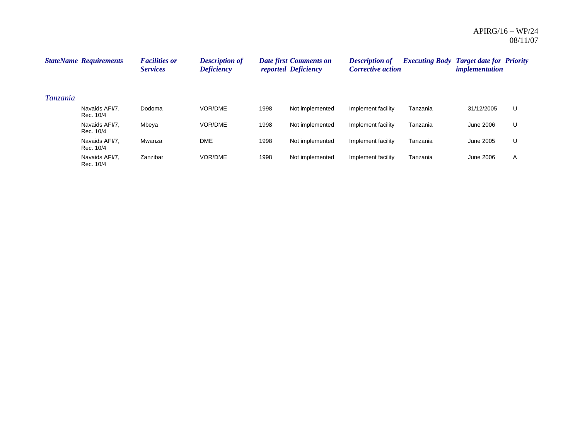|          | <b>StateName Requirements</b> | <b>Facilities or</b><br><b>Services</b> | <b>Description of</b><br><b>Deficiency</b> |      | <b>Date first Comments on</b><br><i>reported Deficiency</i> | <b>Description of</b><br><b>Corrective action</b> | <b>Executing Body</b> | <b>Target date for Priority</b><br><i>implementation</i> |   |
|----------|-------------------------------|-----------------------------------------|--------------------------------------------|------|-------------------------------------------------------------|---------------------------------------------------|-----------------------|----------------------------------------------------------|---|
| Tanzania |                               |                                         |                                            |      |                                                             |                                                   |                       |                                                          |   |
|          | Navaids AFI/7,<br>Rec. 10/4   | Dodoma                                  | VOR/DME                                    | 1998 | Not implemented                                             | Implement facility                                | Tanzania              | 31/12/2005                                               | U |
|          | Navaids AFI/7.<br>Rec. 10/4   | Mbeya                                   | VOR/DME                                    | 1998 | Not implemented                                             | Implement facility                                | Tanzania              | June 2006                                                | U |
|          | Navaids AFI/7.<br>Rec. 10/4   | Mwanza                                  | <b>DME</b>                                 | 1998 | Not implemented                                             | Implement facility                                | Tanzania              | June 2005                                                | U |
|          | Navaids AFI/7.<br>Rec. 10/4   | Zanzibar                                | VOR/DME                                    | 1998 | Not implemented                                             | Implement facility                                | Tanzania              | June 2006                                                | A |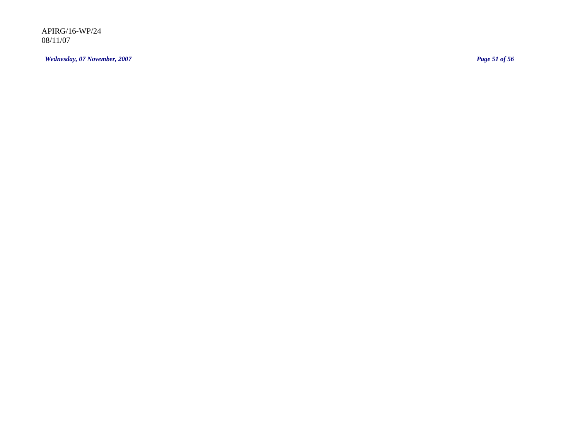*Wednesday, 07 November, 2007 Page 51 of 56*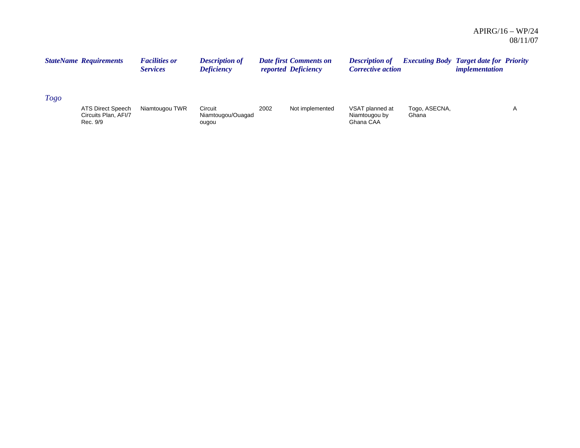|      | <b>StateName Requirements</b>                         | <b>Facilities or</b><br><b>Services</b> | <b>Description of</b><br><b>Deficiency</b> |      | <b>Date first Comments on</b><br>reported Deficiency | <b>Description of</b><br><b>Corrective action</b> | <b>Executing Body Target date for Priority</b> | implementation |   |
|------|-------------------------------------------------------|-----------------------------------------|--------------------------------------------|------|------------------------------------------------------|---------------------------------------------------|------------------------------------------------|----------------|---|
| Togo | ATS Direct Speech<br>Circuits Plan, AFI/7<br>Rec. 9/9 | Niamtougou TWR                          | Circuit<br>Niamtougou/Ouagad<br>ougou      | 2002 | Not implemented                                      | VSAT planned at<br>Niamtougou by<br>Ghana CAA     | Togo, ASECNA,<br>Ghana                         |                | A |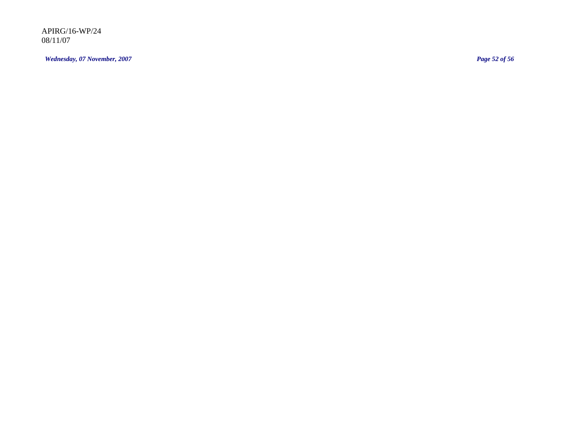*Wednesday, 07 November, 2007 Page 52 of 56*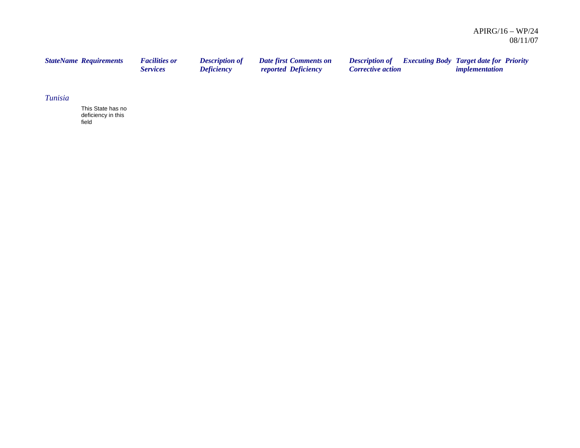*StateName*

*Services*

 *Requirements Facilities or Description of Date first Comments on Description of Executing Body Target date for Priority Deficiency reported Deficiency Corrective action implementation*

## *Tunisia*

This State has no deficiency in this field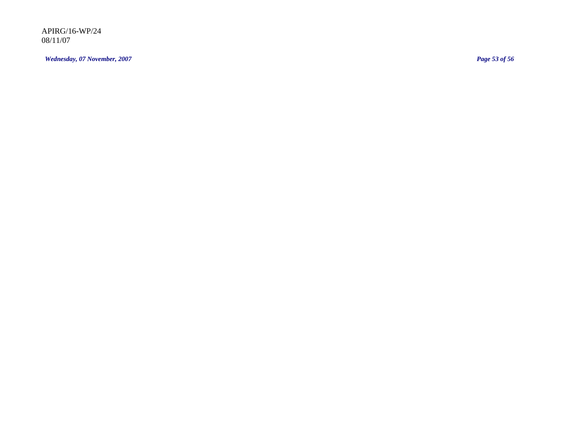*Wednesday, 07 November, 2007 Page 53 of 56*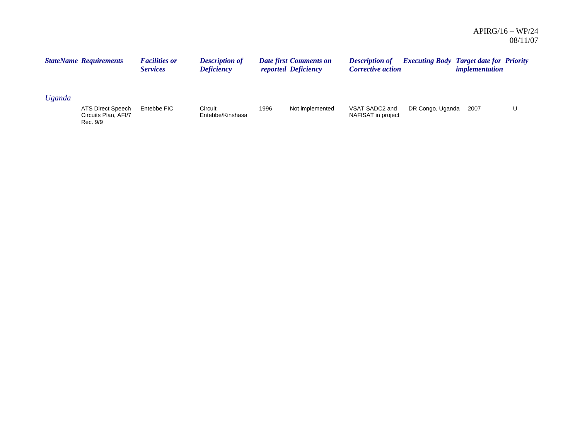|               | <b>StateName Requirements</b>                         | <b>Facilities or</b><br><b>Services</b> | <b>Description of</b><br><b>Deficiency</b> | <b>Date first Comments on</b><br>reported Deficiency |                 | <b>Description of</b><br><b>Corrective action</b> | <b>Executing Body Target date for Priority</b> | <i>implementation</i> |   |
|---------------|-------------------------------------------------------|-----------------------------------------|--------------------------------------------|------------------------------------------------------|-----------------|---------------------------------------------------|------------------------------------------------|-----------------------|---|
| <b>Uganda</b> |                                                       |                                         |                                            |                                                      |                 |                                                   |                                                |                       |   |
|               | ATS Direct Speech<br>Circuits Plan, AFI/7<br>Rec. 9/9 | Entebbe FIC                             | Circuit<br>Entebbe/Kinshasa                | 1996                                                 | Not implemented | VSAT SADC2 and<br>NAFISAT in project              | DR Congo, Uganda                               | 2007                  | U |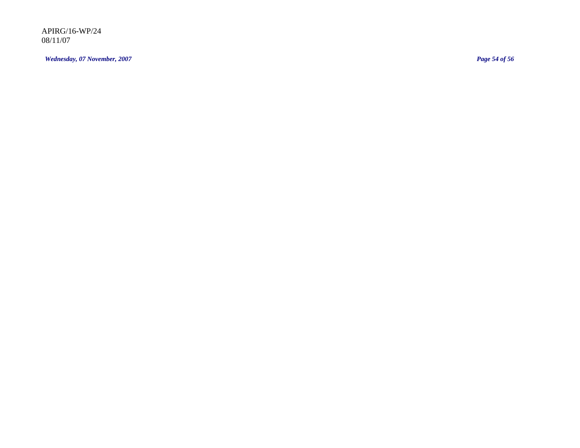*Wednesday, 07 November, 2007 Page 54 of 56*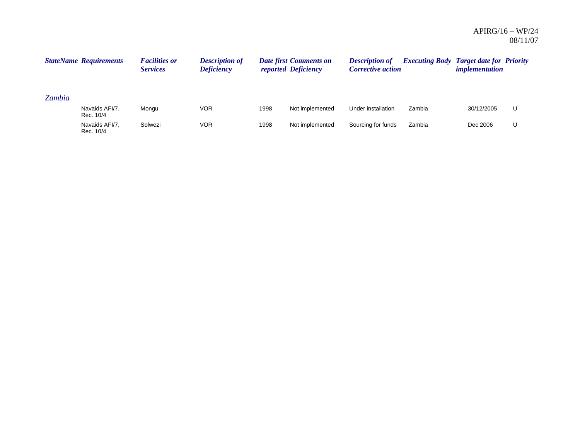|               | <b>StateName Requirements</b> | <b>Facilities or</b><br><b>Services</b> | <b>Description of</b><br><b>Deficiency</b> |      | <b>Date first Comments on</b><br>reported Deficiency | <b>Description of</b><br><b>Corrective action</b> | <b>Executing Body Target date for Priority</b> | implementation |   |
|---------------|-------------------------------|-----------------------------------------|--------------------------------------------|------|------------------------------------------------------|---------------------------------------------------|------------------------------------------------|----------------|---|
| <b>Zambia</b> |                               |                                         |                                            |      |                                                      |                                                   |                                                |                |   |
|               | Navaids AFI/7.<br>Rec. 10/4   | Mongu                                   | <b>VOR</b>                                 | 1998 | Not implemented                                      | Under installation                                | Zambia                                         | 30/12/2005     | U |
|               | Navaids AFI/7,<br>Rec. 10/4   | Solwezi                                 | <b>VOR</b>                                 | 1998 | Not implemented                                      | Sourcing for funds                                | Zambia                                         | Dec 2006       | υ |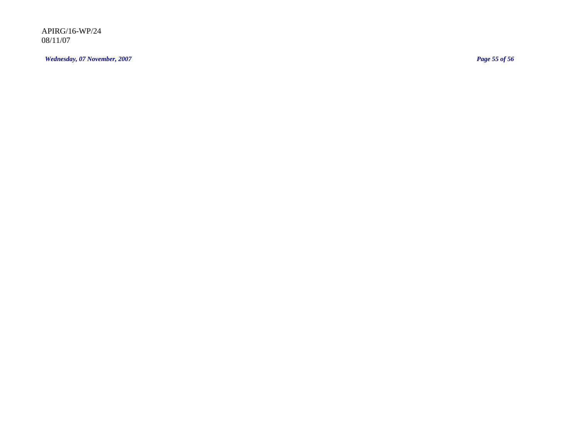*Wednesday, 07 November, 2007 Page 55 of 56*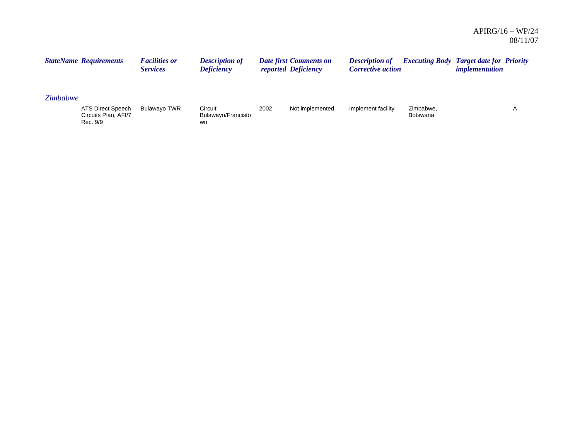|                 | <b>StateName Requirements</b>                         | <b>Facilities or</b><br><b>Services</b> | <b>Description of</b><br><b>Deficiency</b> |      | <b>Date first Comments on</b><br><i>reported Deficiency</i> | <b>Description of</b><br><b>Corrective action</b> | <b>Executing Body Target date for Priority</b> | <i>implementation</i> |   |
|-----------------|-------------------------------------------------------|-----------------------------------------|--------------------------------------------|------|-------------------------------------------------------------|---------------------------------------------------|------------------------------------------------|-----------------------|---|
| <b>Zimbabwe</b> |                                                       |                                         |                                            |      |                                                             |                                                   |                                                |                       |   |
|                 | ATS Direct Speech<br>Circuits Plan, AFI/7<br>Rec. 9/9 | Bulawayo TWR                            | Circuit<br>Bulawayo/Francisto<br>wn        | 2002 | Not implemented                                             | Implement facility                                | Zimbabwe,<br>Botswana                          |                       | A |